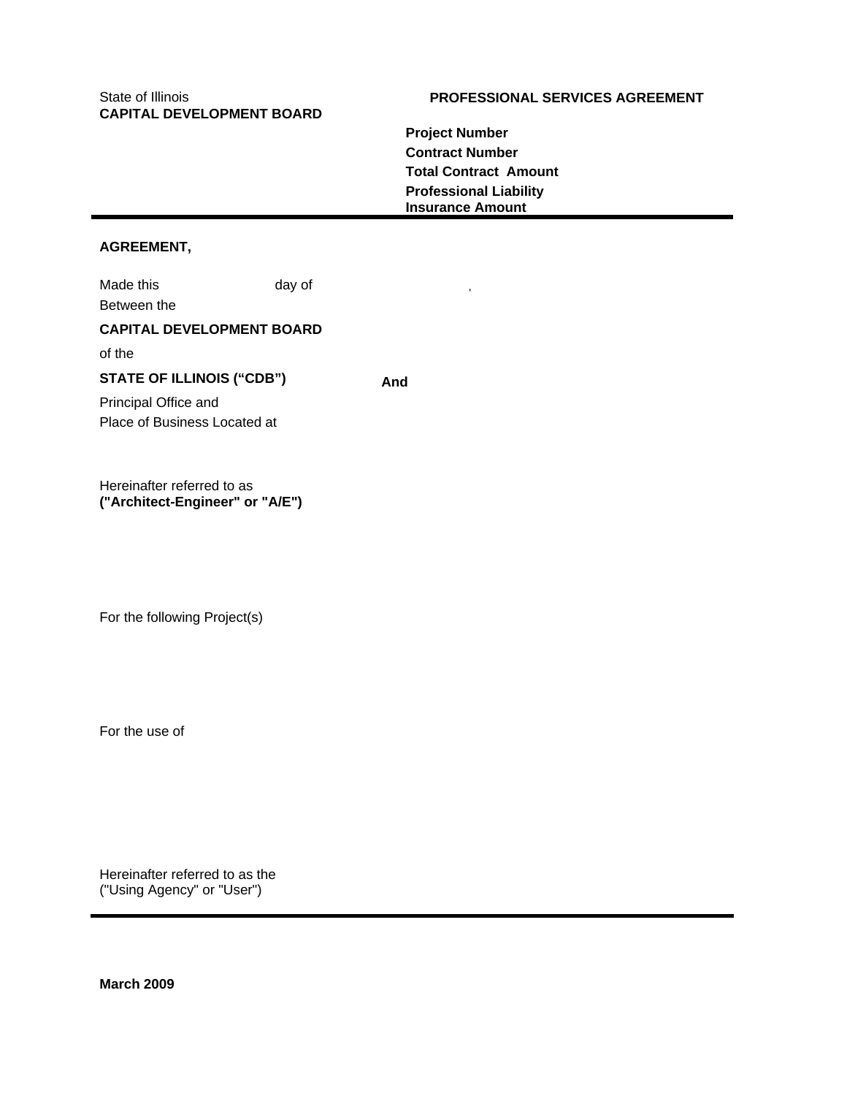# **CAPITAL DEVELOPMENT BOARD**

# State of Illinois **PROFESSIONAL SERVICES AGREEMENT**

**Project Number Contract Number Total Contract Amount Professional Liability Insurance Amount** 

# **AGREEMENT,**

Made this day of Between the **CAPITAL DEVELOPMENT BOARD**  of the STATE OF ILLINOIS ("CDB") And Principal Office and Place of Business Located at

Hereinafter referred to as **("Architect-Engineer" or "A/E")** 

For the following Project(s)

For the use of

Hereinafter referred to as the ("Using Agency" or "User")

**March 2009**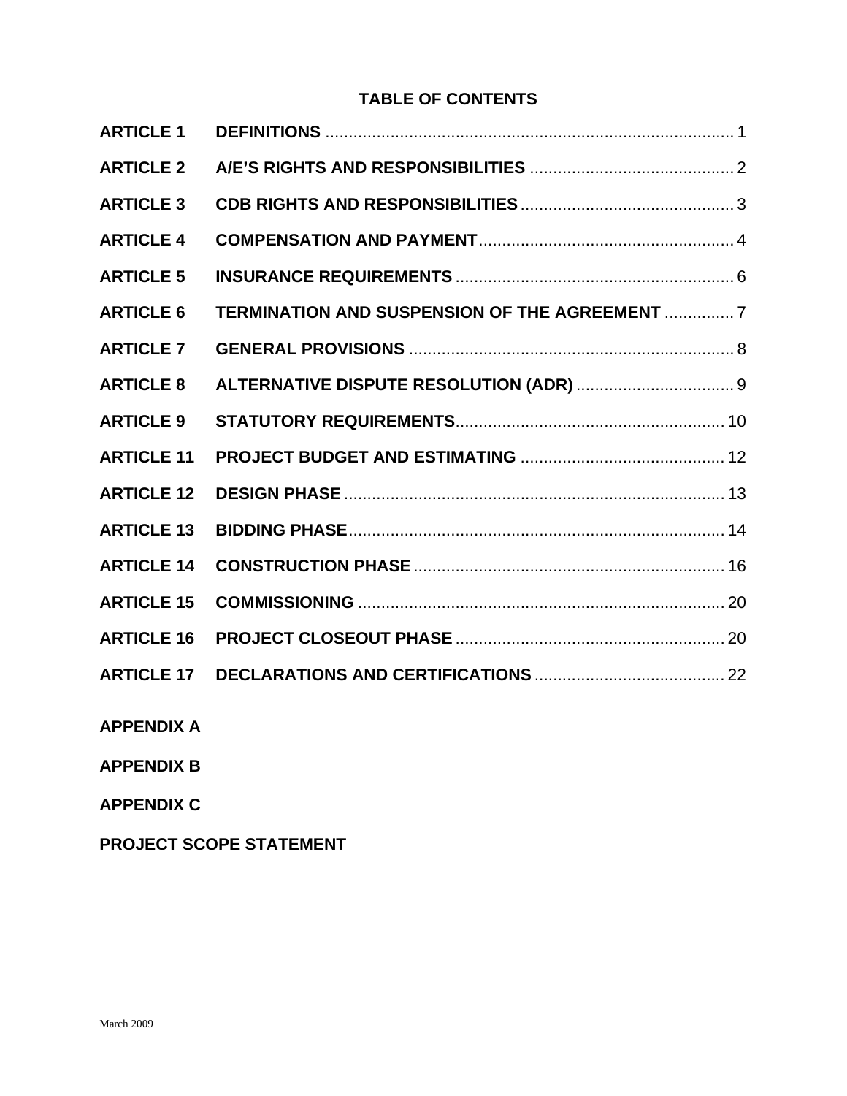# **TABLE OF CONTENTS**

| <b>ARTICLE 1</b>  |                                                |  |
|-------------------|------------------------------------------------|--|
| <b>ARTICLE 2</b>  |                                                |  |
| <b>ARTICLE 3</b>  |                                                |  |
| <b>ARTICLE 4</b>  |                                                |  |
| <b>ARTICLE 5</b>  |                                                |  |
| <b>ARTICLE 6</b>  | TERMINATION AND SUSPENSION OF THE AGREEMENT  7 |  |
| <b>ARTICLE 7</b>  |                                                |  |
| <b>ARTICLE 8</b>  |                                                |  |
| <b>ARTICLE 9</b>  |                                                |  |
| <b>ARTICLE 11</b> |                                                |  |
| <b>ARTICLE 12</b> |                                                |  |
| <b>ARTICLE 13</b> |                                                |  |
| <b>ARTICLE 14</b> |                                                |  |
| <b>ARTICLE 15</b> |                                                |  |
| <b>ARTICLE 16</b> |                                                |  |
| <b>ARTICLE 17</b> |                                                |  |
|                   |                                                |  |

- **APPENDIX A**
- **APPENDIX B**
- **APPENDIX C**
- **PROJECT SCOPE STATEMENT**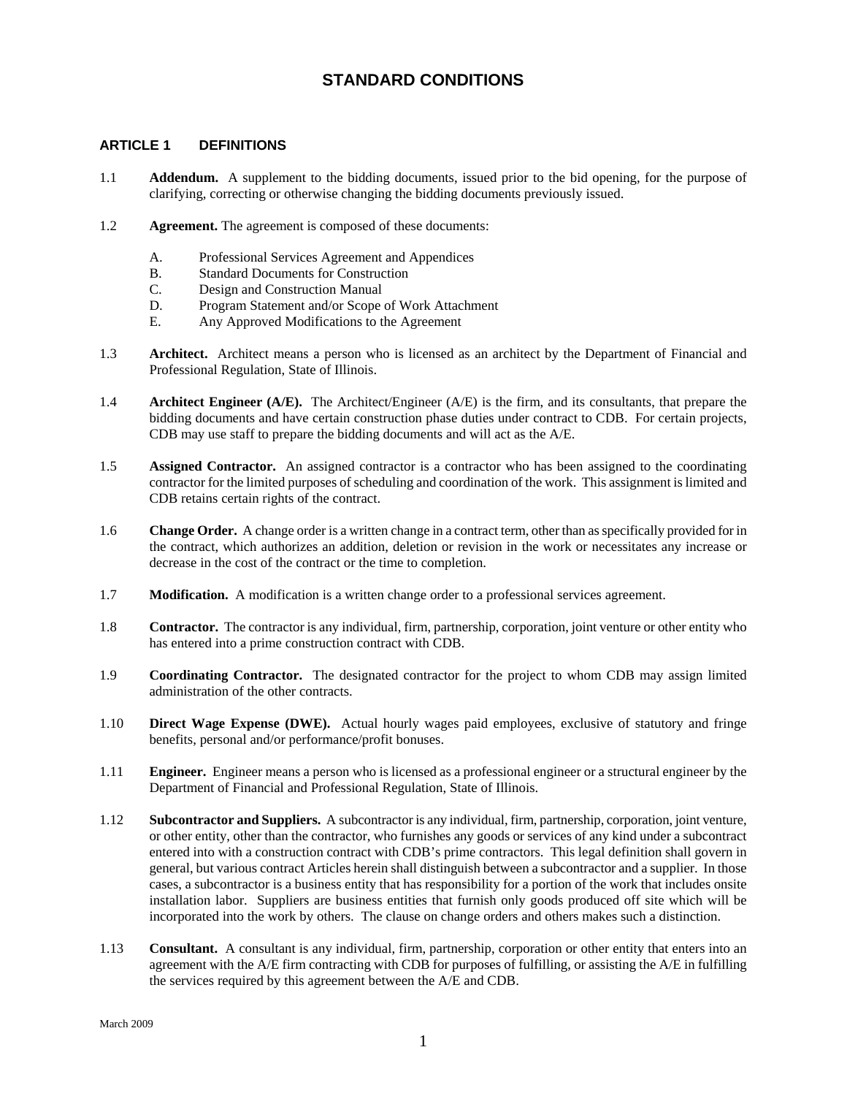# **STANDARD CONDITIONS**

#### <span id="page-2-0"></span>**ARTICLE 1 DEFINITIONS**

- 1.1 **Addendum.** A supplement to the bidding documents, issued prior to the bid opening, for the purpose of clarifying, correcting or otherwise changing the bidding documents previously issued.
- 1.2 **Agreement.** The agreement is composed of these documents:
	- A. Professional Services Agreement and Appendices
	- B. Standard Documents for Construction
	- C. Design and Construction Manual
	- D. Program Statement and/or Scope of Work Attachment
	- E. Any Approved Modifications to the Agreement
- 1.3 **Architect.** Architect means a person who is licensed as an architect by the Department of Financial and Professional Regulation, State of Illinois.
- 1.4 **Architect Engineer (A/E).** The Architect/Engineer (A/E) is the firm, and its consultants, that prepare the bidding documents and have certain construction phase duties under contract to CDB. For certain projects, CDB may use staff to prepare the bidding documents and will act as the A/E.
- 1.5 **Assigned Contractor.** An assigned contractor is a contractor who has been assigned to the coordinating contractor for the limited purposes of scheduling and coordination of the work. This assignment is limited and CDB retains certain rights of the contract.
- 1.6 **Change Order.** A change order is a written change in a contract term, other than as specifically provided for in the contract, which authorizes an addition, deletion or revision in the work or necessitates any increase or decrease in the cost of the contract or the time to completion.
- 1.7 **Modification.** A modification is a written change order to a professional services agreement.
- 1.8 **Contractor.** The contractor is any individual, firm, partnership, corporation, joint venture or other entity who has entered into a prime construction contract with CDB.
- 1.9 **Coordinating Contractor.** The designated contractor for the project to whom CDB may assign limited administration of the other contracts.
- 1.10 **Direct Wage Expense (DWE).** Actual hourly wages paid employees, exclusive of statutory and fringe benefits, personal and/or performance/profit bonuses.
- 1.11 **Engineer.** Engineer means a person who is licensed as a professional engineer or a structural engineer by the Department of Financial and Professional Regulation, State of Illinois.
- 1.12 **Subcontractor and Suppliers.** A subcontractor is any individual, firm, partnership, corporation, joint venture, or other entity, other than the contractor, who furnishes any goods or services of any kind under a subcontract entered into with a construction contract with CDB's prime contractors. This legal definition shall govern in general, but various contract Articles herein shall distinguish between a subcontractor and a supplier. In those cases, a subcontractor is a business entity that has responsibility for a portion of the work that includes onsite installation labor. Suppliers are business entities that furnish only goods produced off site which will be incorporated into the work by others. The clause on change orders and others makes such a distinction.
- 1.13 **Consultant.** A consultant is any individual, firm, partnership, corporation or other entity that enters into an agreement with the  $A/E$  firm contracting with CDB for purposes of fulfilling, or assisting the  $A/E$  in fulfilling the services required by this agreement between the A/E and CDB.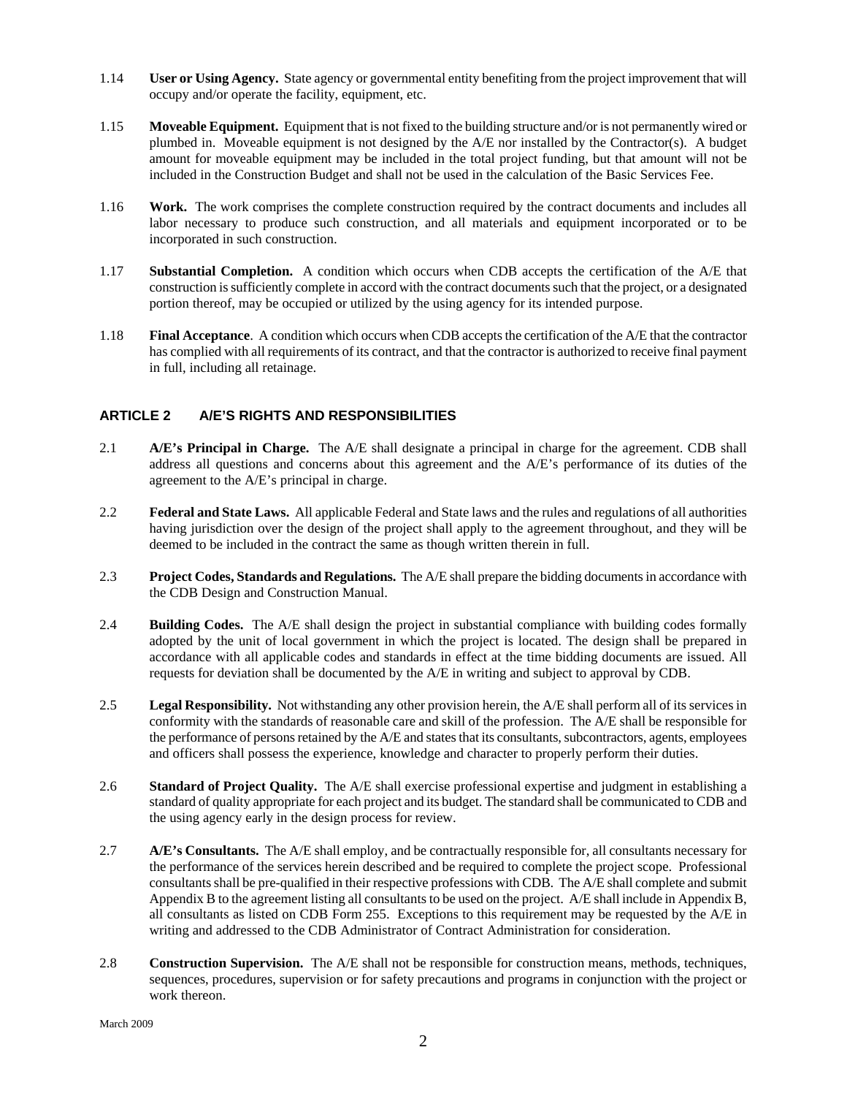- <span id="page-3-0"></span>1.14 **User or Using Agency.** State agency or governmental entity benefiting from the project improvement that will occupy and/or operate the facility, equipment, etc.
- 1.15 **Moveable Equipment.** Equipment that is not fixed to the building structure and/or is not permanently wired or plumbed in. Moveable equipment is not designed by the A/E nor installed by the Contractor(s). A budget amount for moveable equipment may be included in the total project funding, but that amount will not be included in the Construction Budget and shall not be used in the calculation of the Basic Services Fee.
- 1.16 **Work.** The work comprises the complete construction required by the contract documents and includes all labor necessary to produce such construction, and all materials and equipment incorporated or to be incorporated in such construction.
- 1.17 **Substantial Completion.** A condition which occurs when CDB accepts the certification of the A/E that construction is sufficiently complete in accord with the contract documents such that the project, or a designated portion thereof, may be occupied or utilized by the using agency for its intended purpose.
- 1.18 **Final Acceptance**. A condition which occurs when CDB accepts the certification of the A/E that the contractor has complied with all requirements of its contract, and that the contractor is authorized to receive final payment in full, including all retainage.

# **ARTICLE 2 A/E'S RIGHTS AND RESPONSIBILITIES**

- 2.1 **A/E's Principal in Charge.** The A/E shall designate a principal in charge for the agreement. CDB shall address all questions and concerns about this agreement and the A/E's performance of its duties of the agreement to the A/E's principal in charge.
- 2.2 **Federal and State Laws.** All applicable Federal and State laws and the rules and regulations of all authorities having jurisdiction over the design of the project shall apply to the agreement throughout, and they will be deemed to be included in the contract the same as though written therein in full.
- 2.3 **Project Codes, Standards and Regulations.** The A/E shall prepare the bidding documents in accordance with the CDB Design and Construction Manual.
- 2.4 **Building Codes.** The A/E shall design the project in substantial compliance with building codes formally adopted by the unit of local government in which the project is located. The design shall be prepared in accordance with all applicable codes and standards in effect at the time bidding documents are issued. All requests for deviation shall be documented by the A/E in writing and subject to approval by CDB.
- 2.5 **Legal Responsibility.** Not withstanding any other provision herein, the A/E shall perform all of its services in conformity with the standards of reasonable care and skill of the profession. The A/E shall be responsible for the performance of persons retained by the A/E and states that its consultants, subcontractors, agents, employees and officers shall possess the experience, knowledge and character to properly perform their duties.
- 2.6 **Standard of Project Quality.** The A/E shall exercise professional expertise and judgment in establishing a standard of quality appropriate for each project and its budget. The standard shall be communicated to CDB and the using agency early in the design process for review.
- 2.7 **A/E's Consultants.** The A/E shall employ, and be contractually responsible for, all consultants necessary for the performance of the services herein described and be required to complete the project scope. Professional consultants shall be pre-qualified in their respective professions with CDB. The A/E shall complete and submit Appendix B to the agreement listing all consultants to be used on the project. A/E shall include in Appendix B, all consultants as listed on CDB Form 255. Exceptions to this requirement may be requested by the A/E in writing and addressed to the CDB Administrator of Contract Administration for consideration.
- 2.8 **Construction Supervision.** The A/E shall not be responsible for construction means, methods, techniques, sequences, procedures, supervision or for safety precautions and programs in conjunction with the project or work thereon.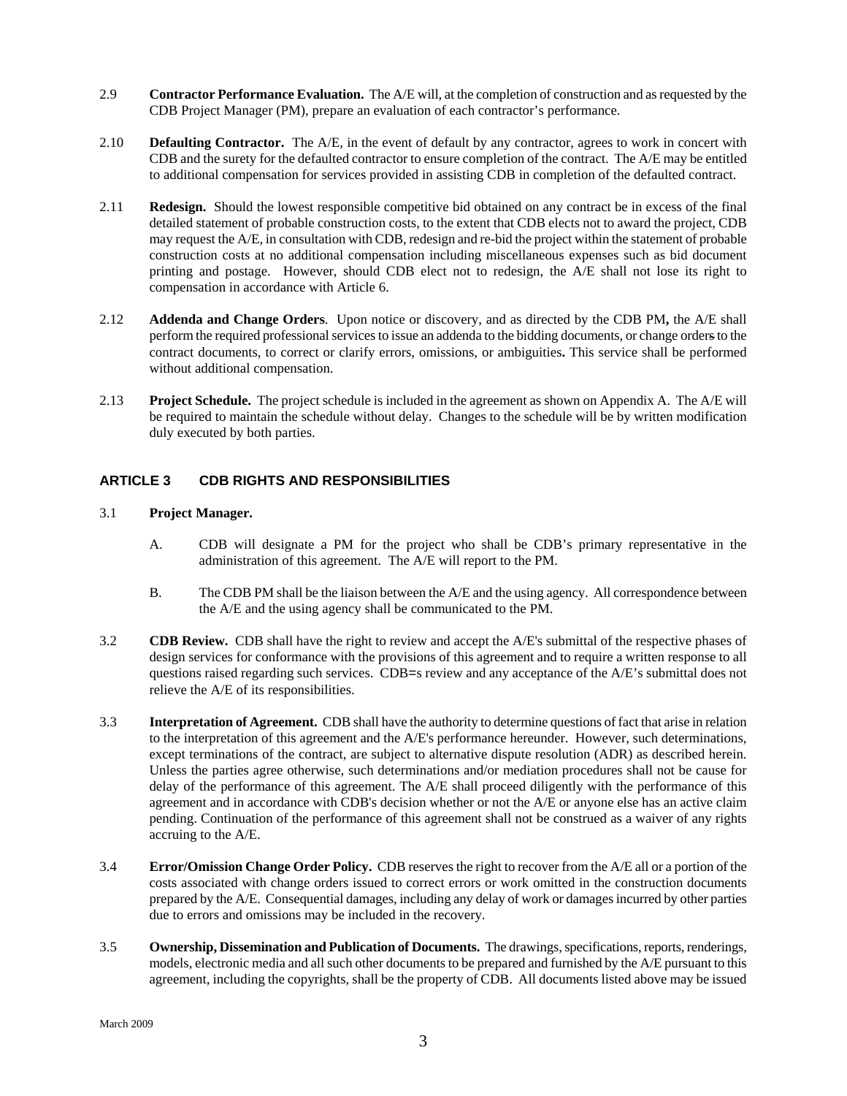- <span id="page-4-0"></span>2.9 **Contractor Performance Evaluation.** The A/E will, at the completion of construction and as requested by the CDB Project Manager (PM), prepare an evaluation of each contractor's performance.
- 2.10 **Defaulting Contractor.** The A/E, in the event of default by any contractor, agrees to work in concert with CDB and the surety for the defaulted contractor to ensure completion of the contract. The A/E may be entitled to additional compensation for services provided in assisting CDB in completion of the defaulted contract.
- 2.11 **Redesign.** Should the lowest responsible competitive bid obtained on any contract be in excess of the final detailed statement of probable construction costs, to the extent that CDB elects not to award the project, CDB may request the A/E, in consultation with CDB, redesign and re-bid the project within the statement of probable construction costs at no additional compensation including miscellaneous expenses such as bid document printing and postage. However, should CDB elect not to redesign, the A/E shall not lose its right to compensation in accordance with Article 6.
- 2.12 **Addenda and Change Orders**. Upon notice or discovery, and as directed by the CDB PM**,** the A/E shall perform the required professional services to issue an addenda to the bidding documents, or change orders to the contract documents, to correct or clarify errors, omissions, or ambiguities**.** This service shall be performed without additional compensation.
- 2.13 **Project Schedule.** The project schedule is included in the agreement as shown on Appendix A. The A/E will be required to maintain the schedule without delay. Changes to the schedule will be by written modification duly executed by both parties.

# **ARTICLE 3 CDB RIGHTS AND RESPONSIBILITIES**

#### 3.1 **Project Manager.**

- A. CDB will designate a PM for the project who shall be CDB's primary representative in the administration of this agreement. The A/E will report to the PM.
- B. The CDB PM shall be the liaison between the A/E and the using agency. All correspondence between the A/E and the using agency shall be communicated to the PM.
- 3.2 **CDB Review.** CDB shall have the right to review and accept the A/E's submittal of the respective phases of design services for conformance with the provisions of this agreement and to require a written response to all questions raised regarding such services. CDB=s review and any acceptance of the A/E's submittal does not relieve the A/E of its responsibilities.
- 3.3 **Interpretation of Agreement.** CDB shall have the authority to determine questions of fact that arise in relation to the interpretation of this agreement and the A/E's performance hereunder. However, such determinations, except terminations of the contract, are subject to alternative dispute resolution (ADR) as described herein. Unless the parties agree otherwise, such determinations and/or mediation procedures shall not be cause for delay of the performance of this agreement. The A/E shall proceed diligently with the performance of this agreement and in accordance with CDB's decision whether or not the A/E or anyone else has an active claim pending. Continuation of the performance of this agreement shall not be construed as a waiver of any rights accruing to the A/E.
- 3.4 **Error/Omission Change Order Policy.** CDB reserves the right to recover from the A/E all or a portion of the costs associated with change orders issued to correct errors or work omitted in the construction documents prepared by the A/E. Consequential damages, including any delay of work or damages incurred by other parties due to errors and omissions may be included in the recovery.
- 3.5 **Ownership, Dissemination and Publication of Documents.** The drawings, specifications, reports, renderings, models, electronic media and all such other documents to be prepared and furnished by the A/E pursuant to this agreement, including the copyrights, shall be the property of CDB. All documents listed above may be issued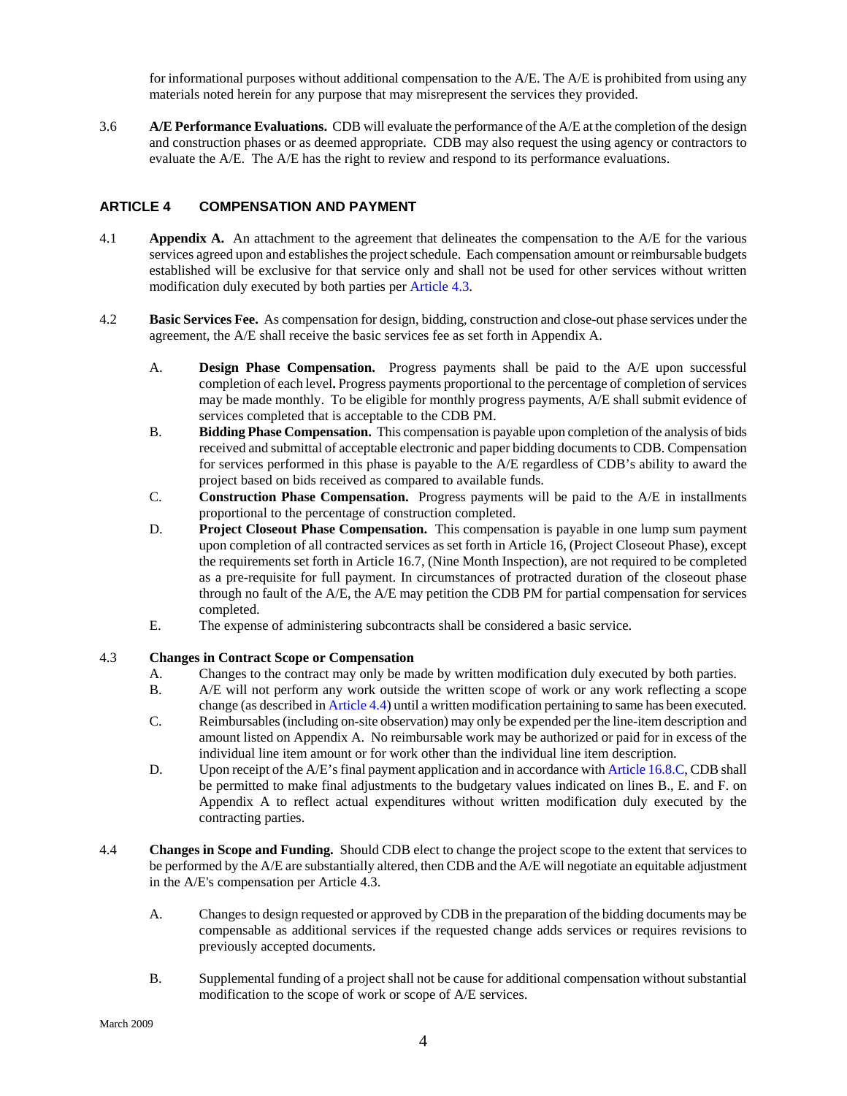for informational purposes without additional compensation to the A/E. The A/E is prohibited from using any materials noted herein for any purpose that may misrepresent the services they provided.

<span id="page-5-0"></span>3.6 **A/E Performance Evaluations.** CDB will evaluate the performance of the A/E at the completion of the design and construction phases or as deemed appropriate. CDB may also request the using agency or contractors to evaluate the A/E. The A/E has the right to review and respond to its performance evaluations.

# **ARTICLE 4 COMPENSATION AND PAYMENT**

- 4.1 **Appendix A.** An attachment to the agreement that delineates the compensation to the A/E for the various services agreed upon and establishes the project schedule. Each compensation amount or reimbursable budgets established will be exclusive for that service only and shall not be used for other services without written modification duly executed by both parties per Article 4.3.
- 4.2 **Basic Services Fee.** As compensation for design, bidding, construction and close-out phase services under the agreement, the A/E shall receive the basic services fee as set forth in Appendix A.
	- A. **Design Phase Compensation.** Progress payments shall be paid to the A/E upon successful completion of each level**.** Progress payments proportional to the percentage of completion of services may be made monthly. To be eligible for monthly progress payments, A/E shall submit evidence of services completed that is acceptable to the CDB PM.
	- B. **Bidding Phase Compensation.** This compensation is payable upon completion of the analysis of bids received and submittal of acceptable electronic and paper bidding documents to CDB. Compensation for services performed in this phase is payable to the A/E regardless of CDB's ability to award the project based on bids received as compared to available funds.
	- C. **Construction Phase Compensation.** Progress payments will be paid to the A/E in installments proportional to the percentage of construction completed.
	- D. **Project Closeout Phase Compensation.** This compensation is payable in one lump sum payment upon completion of all contracted services as set forth in Article 16, (Project Closeout Phase), except the requirements set forth in Article 16.7, (Nine Month Inspection), are not required to be completed as a pre-requisite for full payment. In circumstances of protracted duration of the closeout phase through no fault of the A/E, the A/E may petition the CDB PM for partial compensation for services completed.
	- E. The expense of administering subcontracts shall be considered a basic service.

#### 4.3 **Changes in Contract Scope or Compensation**

- A. Changes to the contract may only be made by written modification duly executed by both parties.
- B. A/E will not perform any work outside the written scope of work or any work reflecting a scope change (as described in Article 4.4) until a written modification pertaining to same has been executed.
- C. Reimbursables (including on-site observation) may only be expended per the line-item description and amount listed on Appendix A. No reimbursable work may be authorized or paid for in excess of the individual line item amount or for work other than the individual line item description.
- D. Upon receipt of the A/E's final payment application and in accordance with Article 16.8.C, CDB shall be permitted to make final adjustments to the budgetary values indicated on lines B., E. and F. on Appendix A to reflect actual expenditures without written modification duly executed by the contracting parties.
- 4.4 **Changes in Scope and Funding.** Should CDB elect to change the project scope to the extent that services to be performed by the A/E are substantially altered, then CDB and the A/E will negotiate an equitable adjustment in the A/E's compensation per Article 4.3.
	- A. Changes to design requested or approved by CDB in the preparation of the bidding documents may be compensable as additional services if the requested change adds services or requires revisions to previously accepted documents.
	- B. Supplemental funding of a project shall not be cause for additional compensation without substantial modification to the scope of work or scope of A/E services.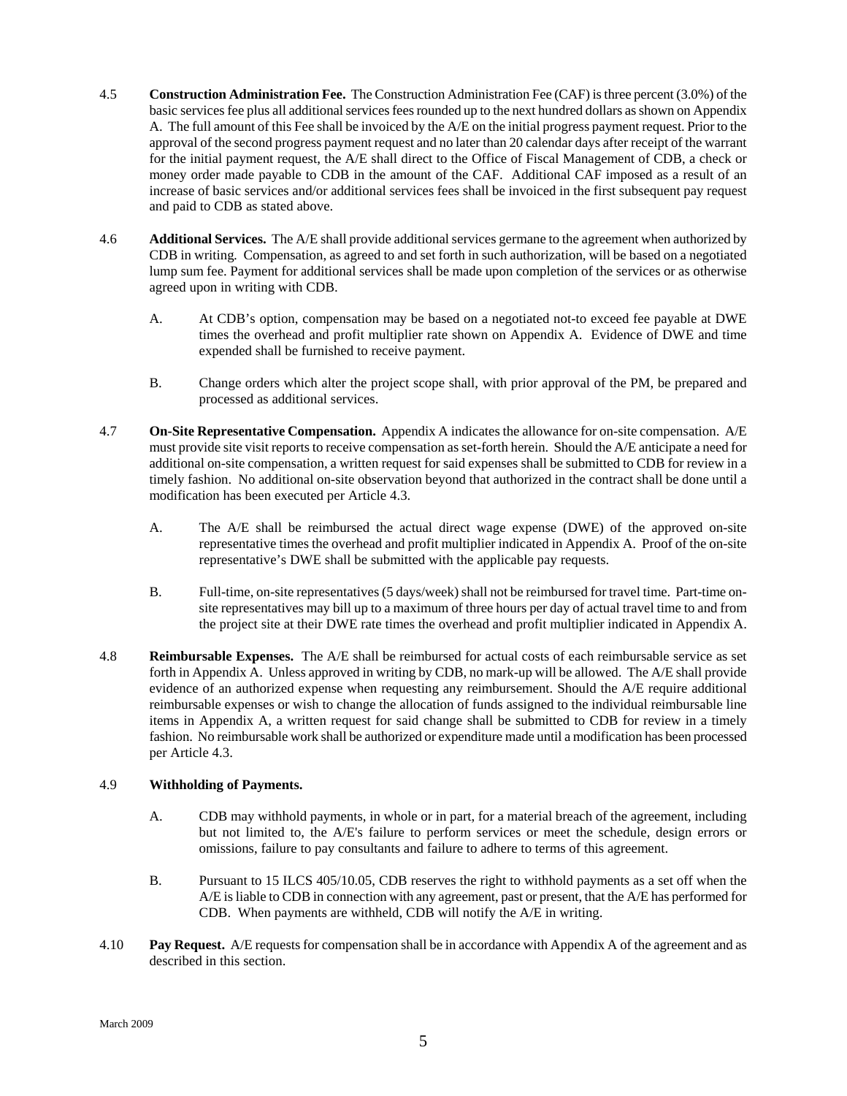- 4.5 **Construction Administration Fee.** The Construction Administration Fee (CAF) is three percent (3.0%) of the basic services fee plus all additional services fees rounded up to the next hundred dollars as shown on Appendix A. The full amount of this Fee shall be invoiced by the A/E on the initial progress payment request. Prior to the approval of the second progress payment request and no later than 20 calendar days after receipt of the warrant for the initial payment request, the A/E shall direct to the Office of Fiscal Management of CDB, a check or money order made payable to CDB in the amount of the CAF. Additional CAF imposed as a result of an increase of basic services and/or additional services fees shall be invoiced in the first subsequent pay request and paid to CDB as stated above.
- 4.6 **Additional Services.** The A/E shall provide additionalservices germane to the agreement when authorized by CDB in writing*.* Compensation, as agreed to and set forth in such authorization*,* will be based on a negotiated lump sum fee. Payment for additional services shall be made upon completion of the services or as otherwise agreed upon in writing with CDB.
	- A. At CDB's option, compensation may be based on a negotiated not-to exceed fee payable at DWE times the overhead and profit multiplier rate shown on Appendix A. Evidence of DWE and time expended shall be furnished to receive payment.
	- B. Change orders which alter the project scope shall, with prior approval of the PM, be prepared and processed as additional services.
- 4.7 **On-Site Representative Compensation.** Appendix A indicates the allowance for on-site compensation. A/E must provide site visit reports to receive compensation as set-forth herein. Should the A/E anticipate a need for additional on-site compensation, a written request for said expenses shall be submitted to CDB for review in a timely fashion. No additional on-site observation beyond that authorized in the contract shall be done until a modification has been executed per Article 4.3.
	- A. The A/E shall be reimbursed the actual direct wage expense (DWE) of the approved on-site representative times the overhead and profit multiplier indicated in Appendix A. Proof of the on-site representative's DWE shall be submitted with the applicable pay requests.
	- B. Full-time, on-site representatives (5 days/week) shall not be reimbursed for travel time. Part-time onsite representatives may bill up to a maximum of three hours per day of actual travel time to and from the project site at their DWE rate times the overhead and profit multiplier indicated in Appendix A.
- 4.8 **Reimbursable Expenses.** The A/E shall be reimbursed for actual costs of each reimbursable service as set forth in Appendix A. Unless approved in writing by CDB, no mark-up will be allowed. The A/E shall provide evidence of an authorized expense when requesting any reimbursement. Should the A/E require additional reimbursable expenses or wish to change the allocation of funds assigned to the individual reimbursable line items in Appendix A, a written request for said change shall be submitted to CDB for review in a timely fashion. No reimbursable work shall be authorized or expenditure made until a modification has been processed per Article 4.3.

#### 4.9 **Withholding of Payments.**

- A. CDB may withhold payments, in whole or in part, for a material breach of the agreement, including but not limited to, the A/E's failure to perform services or meet the schedule, design errors or omissions, failure to pay consultants and failure to adhere to terms of this agreement.
- B. Pursuant to 15 ILCS 405/10.05, CDB reserves the right to withhold payments as a set off when the A/E is liable to CDB in connection with any agreement, past or present, that the A/E has performed for CDB. When payments are withheld, CDB will notify the A/E in writing.
- 4.10 **Pay Request.** A/E requests for compensation shall be in accordance with Appendix A of the agreement and as described in this section.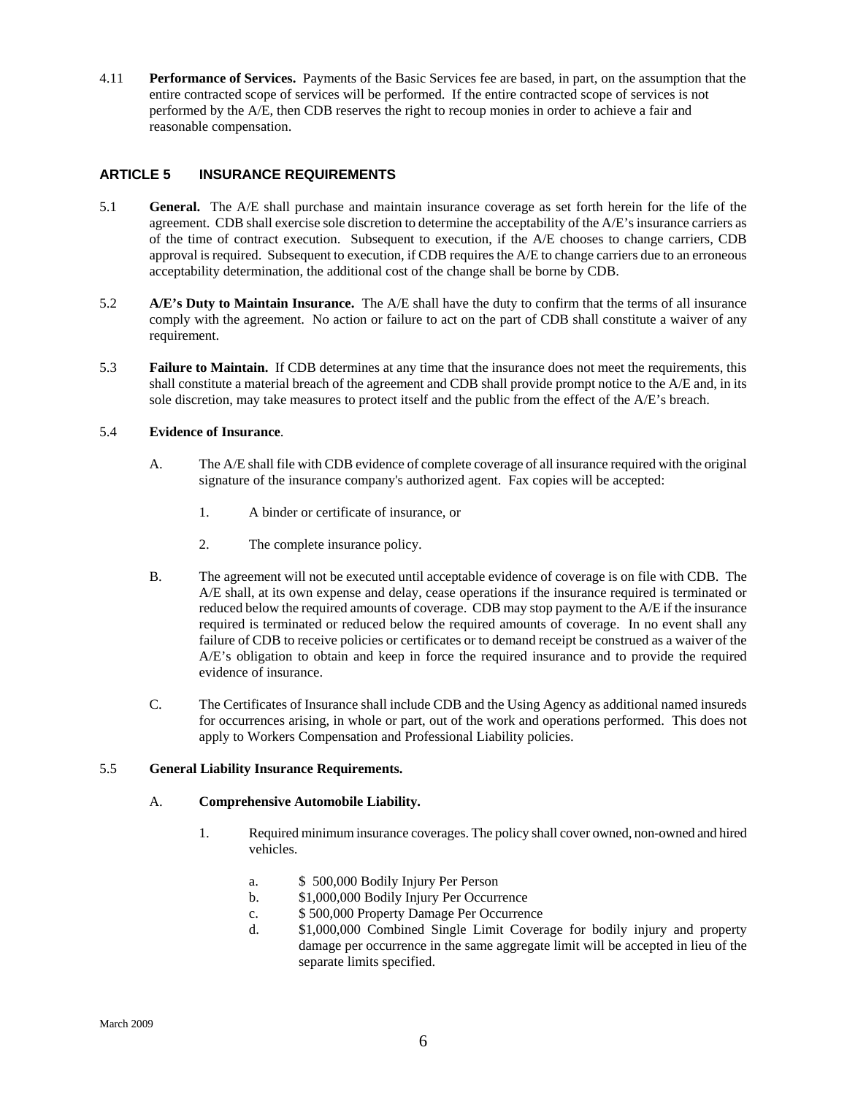<span id="page-7-0"></span>4.11 **Performance of Services.** Payments of the Basic Services fee are based, in part, on the assumption that the entire contracted scope of services will be performed. If the entire contracted scope of services is not performed by the A/E, then CDB reserves the right to recoup monies in order to achieve a fair and reasonable compensation.

# **ARTICLE 5 INSURANCE REQUIREMENTS**

- 5.1 **General.** The A/E shall purchase and maintain insurance coverage as set forth herein for the life of the agreement. CDB shall exercise sole discretion to determine the acceptability of the A/E's insurance carriers as of the time of contract execution. Subsequent to execution, if the A/E chooses to change carriers, CDB approval is required. Subsequent to execution, if CDB requires the A/E to change carriers due to an erroneous acceptability determination, the additional cost of the change shall be borne by CDB.
- 5.2 **A/E's Duty to Maintain Insurance.** The A/E shall have the duty to confirm that the terms of all insurance comply with the agreement. No action or failure to act on the part of CDB shall constitute a waiver of any requirement.
- 5.3 **Failure to Maintain.** If CDB determines at any time that the insurance does not meet the requirements, this shall constitute a material breach of the agreement and CDB shall provide prompt notice to the A/E and, in its sole discretion, may take measures to protect itself and the public from the effect of the A/E's breach.

#### 5.4 **Evidence of Insurance**.

- A. The A/E shall file with CDB evidence of complete coverage of all insurance required with the original signature of the insurance company's authorized agent. Fax copies will be accepted:
	- 1. A binder or certificate of insurance, or
	- 2. The complete insurance policy.
- B. The agreement will not be executed until acceptable evidence of coverage is on file with CDB. The A/E shall, at its own expense and delay, cease operations if the insurance required is terminated or reduced below the required amounts of coverage. CDB may stop payment to the A/E if the insurance required is terminated or reduced below the required amounts of coverage. In no event shall any failure of CDB to receive policies or certificates or to demand receipt be construed as a waiver of the A/E's obligation to obtain and keep in force the required insurance and to provide the required evidence of insurance.
- C. The Certificates of Insurance shall include CDB and the Using Agency as additional named insureds for occurrences arising, in whole or part, out of the work and operations performed. This does not apply to Workers Compensation and Professional Liability policies.

### 5.5 **General Liability Insurance Requirements.**

#### A. **Comprehensive Automobile Liability.**

- 1. Required minimum insurance coverages. The policy shall cover owned, non-owned and hired vehicles.
	- a. \$ 500,000 Bodily Injury Per Person
	- b. \$1,000,000 Bodily Injury Per Occurrence
	- c. \$ 500,000 Property Damage Per Occurrence
	- d. \$1,000,000 Combined Single Limit Coverage for bodily injury and property damage per occurrence in the same aggregate limit will be accepted in lieu of the separate limits specified.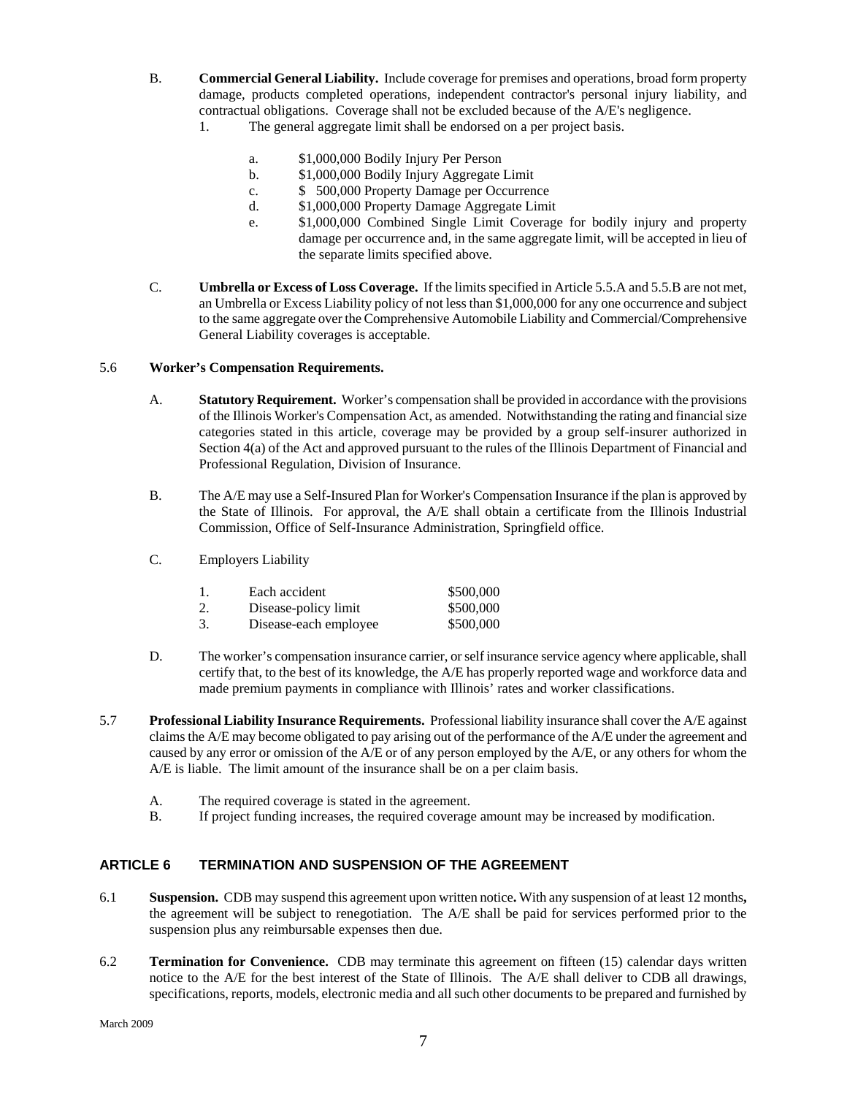- <span id="page-8-0"></span>B. **Commercial General Liability.** Include coverage for premises and operations, broad form property damage, products completed operations, independent contractor's personal injury liability, and contractual obligations. Coverage shall not be excluded because of the A/E's negligence. 1. The general aggregate limit shall be endorsed on a per project basis.
	- - a. \$1,000,000 Bodily Injury Per Person
		- b. \$1,000,000 Bodily Injury Aggregate Limit
		- c. \$ 500,000 Property Damage per Occurrence
		- d. \$1,000,000 Property Damage Aggregate Limit
		- e. \$1,000,000 Combined Single Limit Coverage for bodily injury and property damage per occurrence and, in the same aggregate limit, will be accepted in lieu of the separate limits specified above.
- C. **Umbrella or Excess of Loss Coverage.** If the limits specified in Article 5.5.A and 5.5.B are not met, an Umbrella or Excess Liability policy of not less than \$1,000,000 for any one occurrence and subject to the same aggregate over the Comprehensive Automobile Liability and Commercial/Comprehensive General Liability coverages is acceptable.

# 5.6 **Worker's Compensation Requirements.**

- A. **Statutory Requirement.** Worker's compensation shall be provided in accordance with the provisions of the Illinois Worker's Compensation Act, as amended. Notwithstanding the rating and financial size categories stated in this article, coverage may be provided by a group self-insurer authorized in Section 4(a) of the Act and approved pursuant to the rules of the Illinois Department of Financial and Professional Regulation, Division of Insurance.
- B. The A/E may use a Self-Insured Plan for Worker's Compensation Insurance if the plan is approved by the State of Illinois. For approval, the A/E shall obtain a certificate from the Illinois Industrial Commission, Office of Self-Insurance Administration, Springfield office.
- C. Employers Liability

| Each accident         | \$500,000 |
|-----------------------|-----------|
| Disease-policy limit  | \$500,000 |
| Disease-each employee | \$500,000 |

- D. The worker's compensation insurance carrier, or self insurance service agency where applicable, shall certify that, to the best of its knowledge, the A/E has properly reported wage and workforce data and made premium payments in compliance with Illinois' rates and worker classifications.
- 5.7 **Professional Liability Insurance Requirements.** Professional liability insurance shall cover the A/E against claims the A/E may become obligated to pay arising out of the performance of the A/E under the agreement and caused by any error or omission of the A/E or of any person employed by the A/E, or any others for whom the A/E is liable. The limit amount of the insurance shall be on a per claim basis.
	- A. The required coverage is stated in the agreement.
	- B. If project funding increases, the required coverage amount may be increased by modification.

# **ARTICLE 6 TERMINATION AND SUSPENSION OF THE AGREEMENT**

- 6.1 **Suspension.** CDB may suspend this agreement upon written notice**.** With any suspension of at least 12 months**,** the agreement will be subject to renegotiation. The A/E shall be paid for services performed prior to the suspension plus any reimbursable expenses then due.
- 6.2 **Termination for Convenience.** CDB may terminate this agreement on fifteen (15) calendar days written notice to the A/E for the best interest of the State of Illinois. The A/E shall deliver to CDB all drawings, specifications, reports, models, electronic media and all such other documents to be prepared and furnished by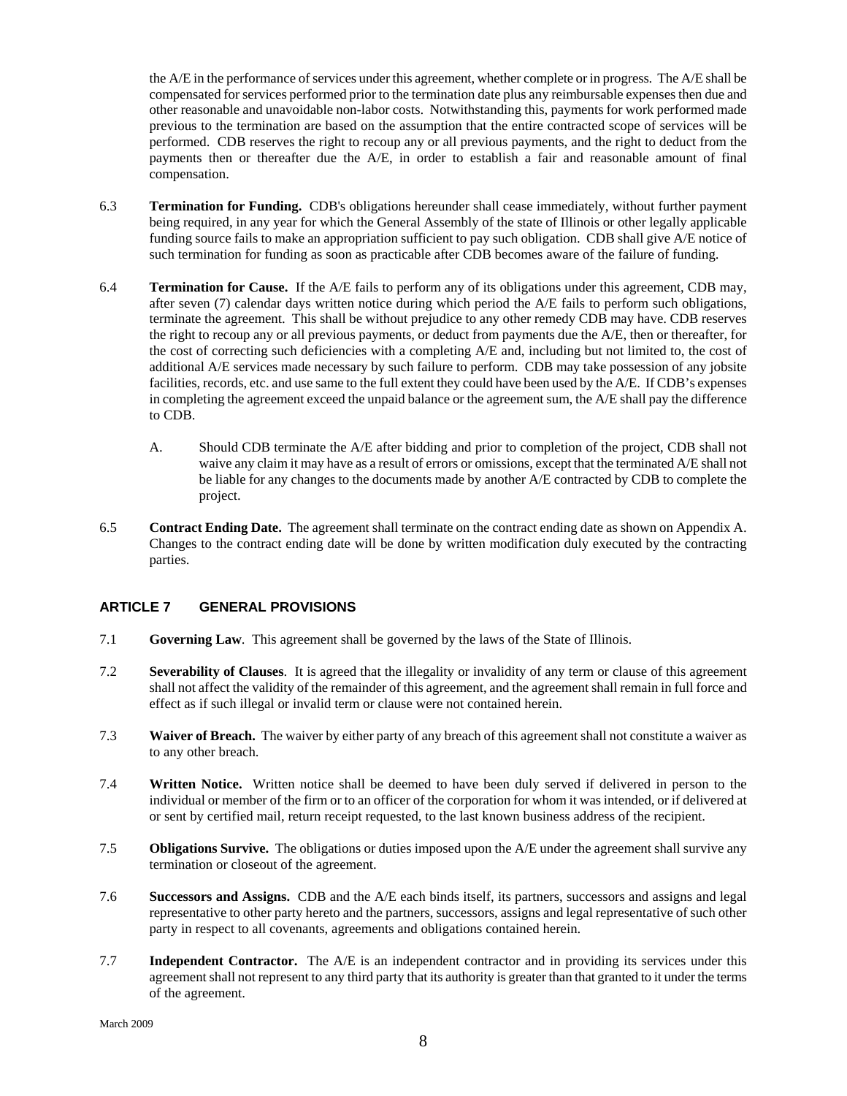<span id="page-9-0"></span>the A/E in the performance of services under this agreement, whether complete or in progress. The A/E shall be compensated for services performed prior to the termination date plus any reimbursable expenses then due and other reasonable and unavoidable non-labor costs. Notwithstanding this, payments for work performed made previous to the termination are based on the assumption that the entire contracted scope of services will be performed. CDB reserves the right to recoup any or all previous payments, and the right to deduct from the payments then or thereafter due the A/E, in order to establish a fair and reasonable amount of final compensation.

- 6.3 **Termination for Funding.** CDB's obligations hereunder shall cease immediately, without further payment being required, in any year for which the General Assembly of the state of Illinois or other legally applicable funding source fails to make an appropriation sufficient to pay such obligation. CDB shall give A/E notice of such termination for funding as soon as practicable after CDB becomes aware of the failure of funding.
- 6.4 **Termination for Cause.** If the A/E fails to perform any of its obligations under this agreement, CDB may, after seven (7) calendar days written notice during which period the A/E fails to perform such obligations, terminate the agreement. This shall be without prejudice to any other remedy CDB may have. CDB reserves the right to recoup any or all previous payments, or deduct from payments due the A/E, then or thereafter, for the cost of correcting such deficiencies with a completing A/E and, including but not limited to, the cost of additional A/E services made necessary by such failure to perform. CDB may take possession of any jobsite facilities, records, etc. and use same to the full extent they could have been used by the A/E. If CDB's expenses in completing the agreement exceed the unpaid balance or the agreement sum, the A/E shall pay the difference to CDB.
	- A. Should CDB terminate the A/E after bidding and prior to completion of the project, CDB shall not waive any claim it may have as a result of errors or omissions, except that the terminated A/E shall not be liable for any changes to the documents made by another A/E contracted by CDB to complete the project.
- 6.5 **Contract Ending Date.** The agreement shall terminate on the contract ending date as shown on Appendix A. Changes to the contract ending date will be done by written modification duly executed by the contracting parties.

# **ARTICLE 7 GENERAL PROVISIONS**

- 7.1 **Governing Law**. This agreement shall be governed by the laws of the State of Illinois.
- 7.2 **Severability of Clauses**. It is agreed that the illegality or invalidity of any term or clause of this agreement shall not affect the validity of the remainder of this agreement, and the agreement shall remain in full force and effect as if such illegal or invalid term or clause were not contained herein.
- 7.3 **Waiver of Breach.** The waiver by either party of any breach of this agreement shall not constitute a waiver as to any other breach.
- 7.4 **Written Notice.** Written notice shall be deemed to have been duly served if delivered in person to the individual or member of the firm or to an officer of the corporation for whom it was intended, or if delivered at or sent by certified mail, return receipt requested, to the last known business address of the recipient.
- 7.5 **Obligations Survive.** The obligations or duties imposed upon the A/E under the agreement shall survive any termination or closeout of the agreement.
- 7.6 **Successors and Assigns.** CDB and the A/E each binds itself, its partners, successors and assigns and legal representative to other party hereto and the partners, successors, assigns and legal representative of such other party in respect to all covenants, agreements and obligations contained herein.
- 7.7 **Independent Contractor.** The A/E is an independent contractor and in providing its services under this agreement shall not represent to any third party that its authority is greater than that granted to it under the terms of the agreement.

March 2009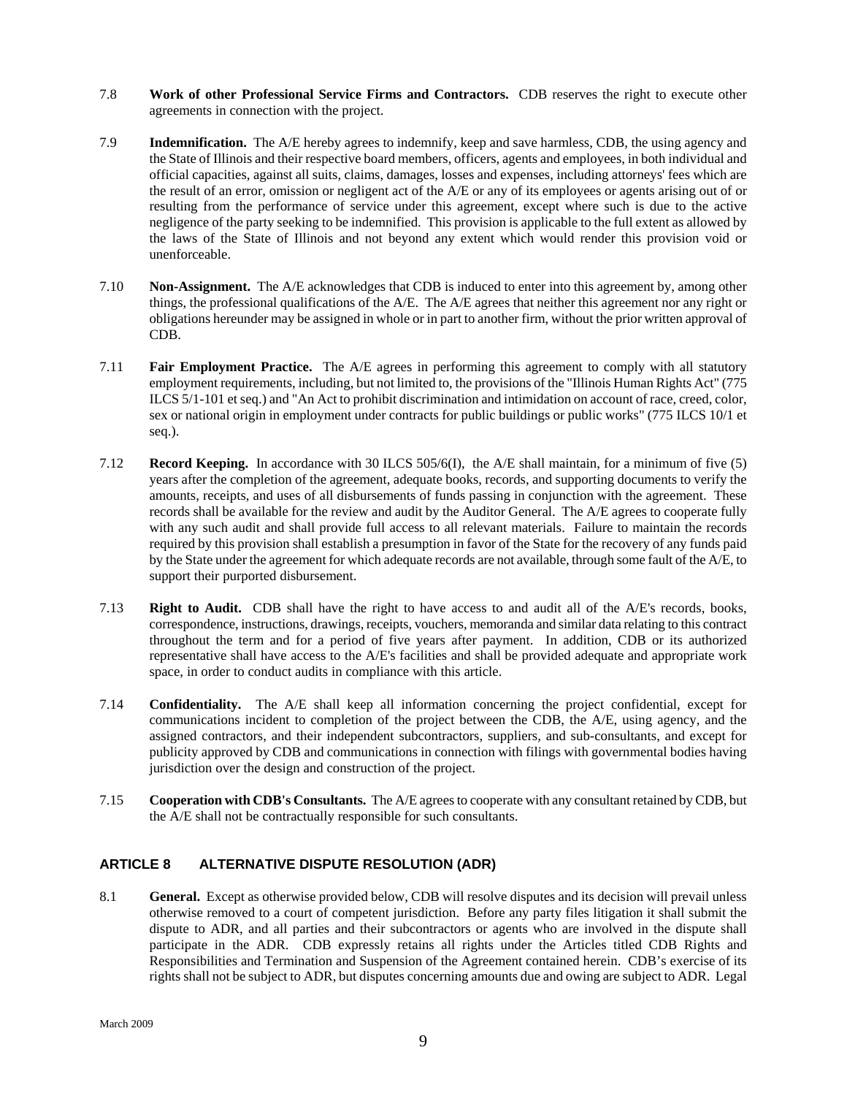- <span id="page-10-0"></span>7.8 **Work of other Professional Service Firms and Contractors.** CDB reserves the right to execute other agreements in connection with the project.
- 7.9 **Indemnification.** The A/E hereby agrees to indemnify, keep and save harmless, CDB, the using agency and the State of Illinois and their respective board members, officers, agents and employees, in both individual and official capacities, against all suits, claims, damages, losses and expenses, including attorneys' fees which are the result of an error, omission or negligent act of the A/E or any of its employees or agents arising out of or resulting from the performance of service under this agreement, except where such is due to the active negligence of the party seeking to be indemnified. This provision is applicable to the full extent as allowed by the laws of the State of Illinois and not beyond any extent which would render this provision void or unenforceable.
- 7.10 **Non-Assignment.** The A/E acknowledges that CDB is induced to enter into this agreement by, among other things, the professional qualifications of the A/E. The A/E agrees that neither this agreement nor any right or obligations hereunder may be assigned in whole or in part to another firm, without the prior written approval of CDB.
- 7.11 **Fair Employment Practice.** The A/E agrees in performing this agreement to comply with all statutory employment requirements, including, but not limited to, the provisions of the "Illinois Human Rights Act" (775 ILCS 5/1-101 et seq.) and "An Act to prohibit discrimination and intimidation on account of race, creed, color, sex or national origin in employment under contracts for public buildings or public works" (775 ILCS 10/1 et seq.).
- 7.12 **Record Keeping.** In accordance with 30 ILCS 505/6(I), the A/E shall maintain, for a minimum of five (5) years after the completion of the agreement, adequate books, records, and supporting documents to verify the amounts, receipts, and uses of all disbursements of funds passing in conjunction with the agreement. These records shall be available for the review and audit by the Auditor General. The A/E agrees to cooperate fully with any such audit and shall provide full access to all relevant materials. Failure to maintain the records required by this provision shall establish a presumption in favor of the State for the recovery of any funds paid by the State under the agreement for which adequate records are not available, through some fault of the A/E, to support their purported disbursement.
- 7.13 **Right to Audit.** CDB shall have the right to have access to and audit all of the A/E's records, books, correspondence, instructions, drawings, receipts, vouchers, memoranda and similar data relating to this contract throughout the term and for a period of five years after payment. In addition, CDB or its authorized representative shall have access to the A/E's facilities and shall be provided adequate and appropriate work space, in order to conduct audits in compliance with this article.
- 7.14 **Confidentiality.** The A/E shall keep all information concerning the project confidential, except for communications incident to completion of the project between the CDB, the A/E, using agency, and the assigned contractors, and their independent subcontractors, suppliers, and sub-consultants, and except for publicity approved by CDB and communications in connection with filings with governmental bodies having jurisdiction over the design and construction of the project.
- 7.15 **Cooperation with CDB's Consultants.** The A/E agrees to cooperate with any consultant retained by CDB, but the A/E shall not be contractually responsible for such consultants.

# **ARTICLE 8 ALTERNATIVE DISPUTE RESOLUTION (ADR)**

8.1 **General.** Except as otherwise provided below, CDB will resolve disputes and its decision will prevail unless otherwise removed to a court of competent jurisdiction. Before any party files litigation it shall submit the dispute to ADR, and all parties and their subcontractors or agents who are involved in the dispute shall participate in the ADR. CDB expressly retains all rights under the Articles titled CDB Rights and Responsibilities and Termination and Suspension of the Agreement contained herein. CDB's exercise of its rights shall not be subject to ADR, but disputes concerning amounts due and owing are subject to ADR. Legal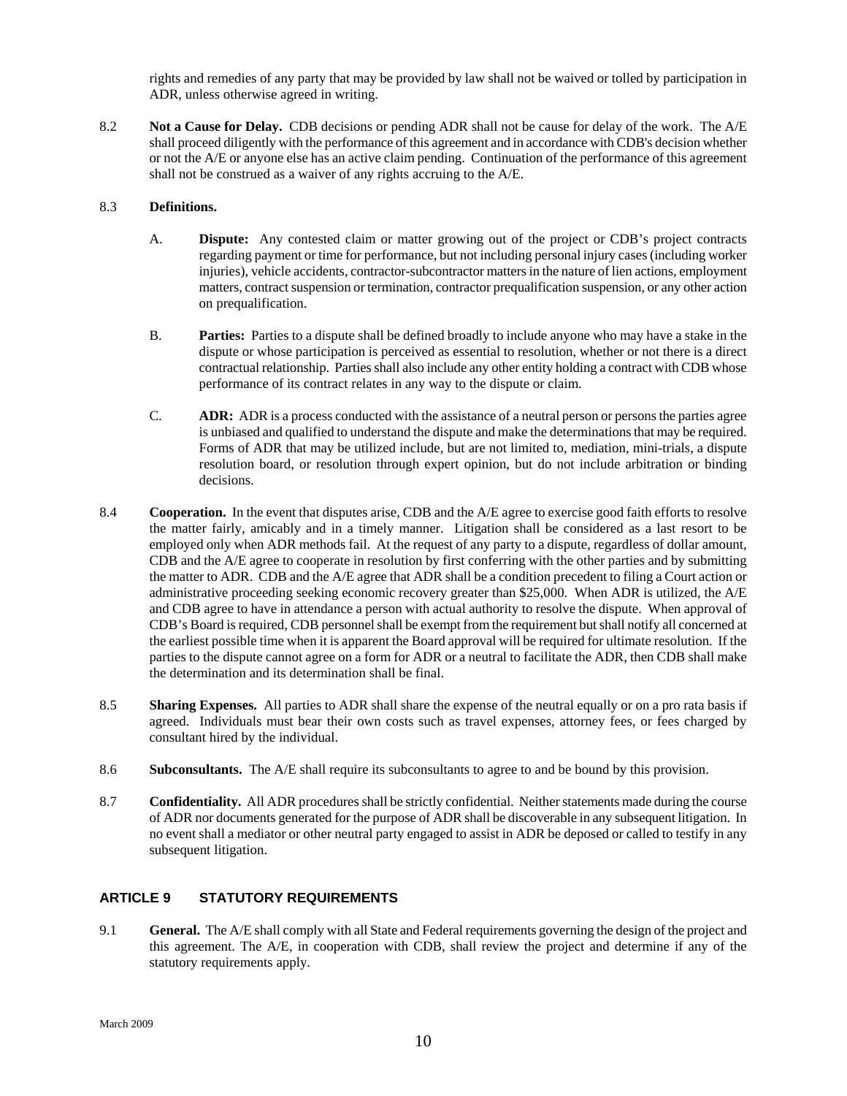rights and remedies of any party that may be provided by law shall not be waived or tolled by participation in ADR, unless otherwise agreed in writing.

<span id="page-11-0"></span>8.2 **Not a Cause for Delay.** CDB decisions or pending ADR shall not be cause for delay of the work. The A/E shall proceed diligently with the performance of this agreement and in accordance with CDB's decision whether or not the A/E or anyone else has an active claim pending. Continuation of the performance of this agreement shall not be construed as a waiver of any rights accruing to the A/E.

#### 8.3 **Definitions.**

- A. **Dispute:** Any contested claim or matter growing out of the project or CDB's project contracts regarding payment or time for performance, but not including personal injury cases (including worker injuries), vehicle accidents, contractor-subcontractor matters in the nature of lien actions, employment matters, contract suspension or termination, contractor prequalification suspension, or any other action on prequalification.
- B. **Parties:** Parties to a dispute shall be defined broadly to include anyone who may have a stake in the dispute or whose participation is perceived as essential to resolution, whether or not there is a direct contractual relationship. Parties shall also include any other entity holding a contract with CDB whose performance of its contract relates in any way to the dispute or claim.
- C. **ADR:** ADR is a process conducted with the assistance of a neutral person or persons the parties agree is unbiased and qualified to understand the dispute and make the determinations that may be required. Forms of ADR that may be utilized include, but are not limited to, mediation, mini-trials, a dispute resolution board, or resolution through expert opinion, but do not include arbitration or binding decisions.
- 8.4 **Cooperation.** In the event that disputes arise, CDB and the A/E agree to exercise good faith efforts to resolve the matter fairly, amicably and in a timely manner. Litigation shall be considered as a last resort to be employed only when ADR methods fail. At the request of any party to a dispute, regardless of dollar amount, CDB and the A/E agree to cooperate in resolution by first conferring with the other parties and by submitting the matter to ADR. CDB and the A/E agree that ADR shall be a condition precedent to filing a Court action or administrative proceeding seeking economic recovery greater than \$25,000. When ADR is utilized, the A/E and CDB agree to have in attendance a person with actual authority to resolve the dispute. When approval of CDB's Board is required, CDB personnel shall be exempt from the requirement but shall notify all concerned at the earliest possible time when it is apparent the Board approval will be required for ultimate resolution. If the parties to the dispute cannot agree on a form for ADR or a neutral to facilitate the ADR, then CDB shall make the determination and its determination shall be final.
- 8.5 **Sharing Expenses.** All parties to ADR shall share the expense of the neutral equally or on a pro rata basis if agreed. Individuals must bear their own costs such as travel expenses, attorney fees, or fees charged by consultant hired by the individual.
- 8.6 **Subconsultants.** The A/E shall require its subconsultants to agree to and be bound by this provision.
- 8.7 **Confidentiality.** All ADR procedures shall be strictly confidential. Neither statements made during the course of ADR nor documents generated for the purpose of ADR shall be discoverable in any subsequent litigation. In no event shall a mediator or other neutral party engaged to assist in ADR be deposed or called to testify in any subsequent litigation.

# **ARTICLE 9 STATUTORY REQUIREMENTS**

9.1 **General.** The A/E shall comply with all State and Federal requirements governing the design of the project and this agreement. The A/E, in cooperation with CDB, shall review the project and determine if any of the statutory requirements apply.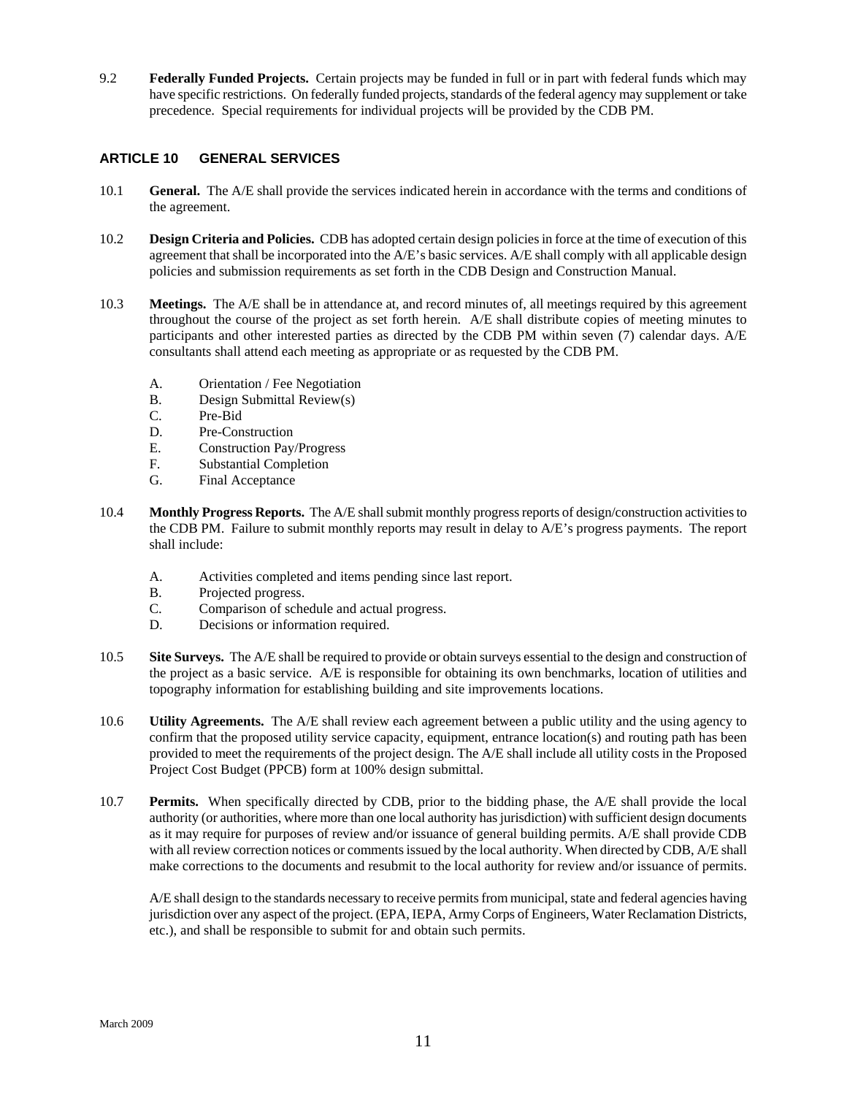9.2 **Federally Funded Projects.** Certain projects may be funded in full or in part with federal funds which may have specific restrictions. On federally funded projects, standards of the federal agency may supplement or take precedence. Special requirements for individual projects will be provided by the CDB PM.

# **ARTICLE 10 GENERAL SERVICES**

- 10.1 **General.** The A/E shall provide the services indicated herein in accordance with the terms and conditions of the agreement.
- 10.2 **Design Criteria and Policies.** CDB has adopted certain design policies in force at the time of execution of this agreement that shall be incorporated into the A/E's basic services. A/E shall comply with all applicable design policies and submission requirements as set forth in the CDB Design and Construction Manual.
- 10.3 **Meetings.** The A/E shall be in attendance at, and record minutes of, all meetings required by this agreement throughout the course of the project as set forth herein. A/E shall distribute copies of meeting minutes to participants and other interested parties as directed by the CDB PM within seven (7) calendar days. A/E consultants shall attend each meeting as appropriate or as requested by the CDB PM.
	- A. Orientation / Fee Negotiation
	- B. Design Submittal Review(s)
	- C. Pre-Bid
	- D. Pre-Construction
	- E. Construction Pay/Progress
	- F. Substantial Completion
	- G. Final Acceptance
- 10.4 **Monthly Progress Reports.** The A/E shall submit monthly progress reports of design/construction activities to the CDB PM. Failure to submit monthly reports may result in delay to A/E's progress payments. The report shall include:
	- A. Activities completed and items pending since last report.
	- B. Projected progress.
	- C. Comparison of schedule and actual progress.
	- D. Decisions or information required.
- 10.5 **Site Surveys.** The A/E shall be required to provide or obtain surveys essential to the design and construction of the project as a basic service. A/E is responsible for obtaining its own benchmarks, location of utilities and topography information for establishing building and site improvements locations.
- 10.6 **Utility Agreements.** The A/E shall review each agreement between a public utility and the using agency to confirm that the proposed utility service capacity, equipment, entrance location(s) and routing path has been provided to meet the requirements of the project design. The A/E shall include all utility costs in the Proposed Project Cost Budget (PPCB) form at 100% design submittal.
- 10.7 **Permits.** When specifically directed by CDB, prior to the bidding phase, the A/E shall provide the local authority (or authorities, where more than one local authority has jurisdiction) with sufficient design documents as it may require for purposes of review and/or issuance of general building permits. A/E shall provide CDB with all review correction notices or comments issued by the local authority. When directed by CDB, A/E shall make corrections to the documents and resubmit to the local authority for review and/or issuance of permits.

A/E shall design to the standards necessary to receive permits from municipal, state and federal agencies having jurisdiction over any aspect of the project. (EPA, IEPA, Army Corps of Engineers, Water Reclamation Districts, etc.), and shall be responsible to submit for and obtain such permits.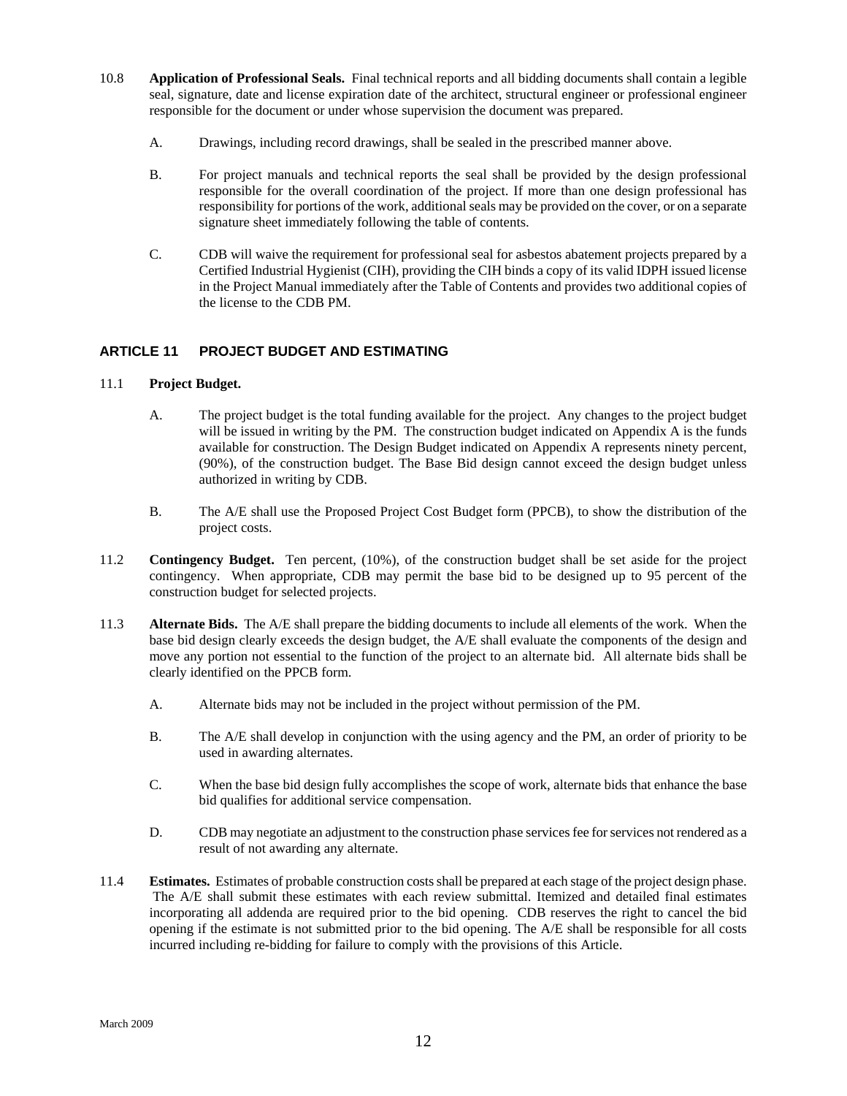- <span id="page-13-0"></span>10.8 **Application of Professional Seals.** Final technical reports and all bidding documents shall contain a legible seal, signature, date and license expiration date of the architect, structural engineer or professional engineer responsible for the document or under whose supervision the document was prepared.
	- A. Drawings, including record drawings, shall be sealed in the prescribed manner above.
	- B. For project manuals and technical reports the seal shall be provided by the design professional responsible for the overall coordination of the project. If more than one design professional has responsibility for portions of the work, additional seals may be provided on the cover, or on a separate signature sheet immediately following the table of contents.
	- C. CDB will waive the requirement for professional seal for asbestos abatement projects prepared by a Certified Industrial Hygienist (CIH), providing the CIH binds a copy of its valid IDPH issued license in the Project Manual immediately after the Table of Contents and provides two additional copies of the license to the CDB PM.

# **ARTICLE 11 PROJECT BUDGET AND ESTIMATING**

#### 11.1 **Project Budget.**

- A. The project budget is the total funding available for the project. Any changes to the project budget will be issued in writing by the PM. The construction budget indicated on Appendix A is the funds available for construction. The Design Budget indicated on Appendix A represents ninety percent, (90%), of the construction budget. The Base Bid design cannot exceed the design budget unless authorized in writing by CDB.
- B. The A/E shall use the Proposed Project Cost Budget form (PPCB), to show the distribution of the project costs.
- 11.2 **Contingency Budget.** Ten percent, (10%), of the construction budget shall be set aside for the project contingency. When appropriate, CDB may permit the base bid to be designed up to 95 percent of the construction budget for selected projects.
- 11.3 **Alternate Bids.** The A/E shall prepare the bidding documents to include all elements of the work. When the base bid design clearly exceeds the design budget, the A/E shall evaluate the components of the design and move any portion not essential to the function of the project to an alternate bid. All alternate bids shall be clearly identified on the PPCB form.
	- A. Alternate bids may not be included in the project without permission of the PM.
	- B. The A/E shall develop in conjunction with the using agency and the PM, an order of priority to be used in awarding alternates.
	- C. When the base bid design fully accomplishes the scope of work, alternate bids that enhance the base bid qualifies for additional service compensation.
	- D. CDB may negotiate an adjustment to the construction phase services fee for services not rendered as a result of not awarding any alternate.
- 11.4 **Estimates.** Estimates of probable construction costs shall be prepared at each stage of the project design phase. The A/E shall submit these estimates with each review submittal. Itemized and detailed final estimates incorporating all addenda are required prior to the bid opening. CDB reserves the right to cancel the bid opening if the estimate is not submitted prior to the bid opening. The A/E shall be responsible for all costs incurred including re-bidding for failure to comply with the provisions of this Article.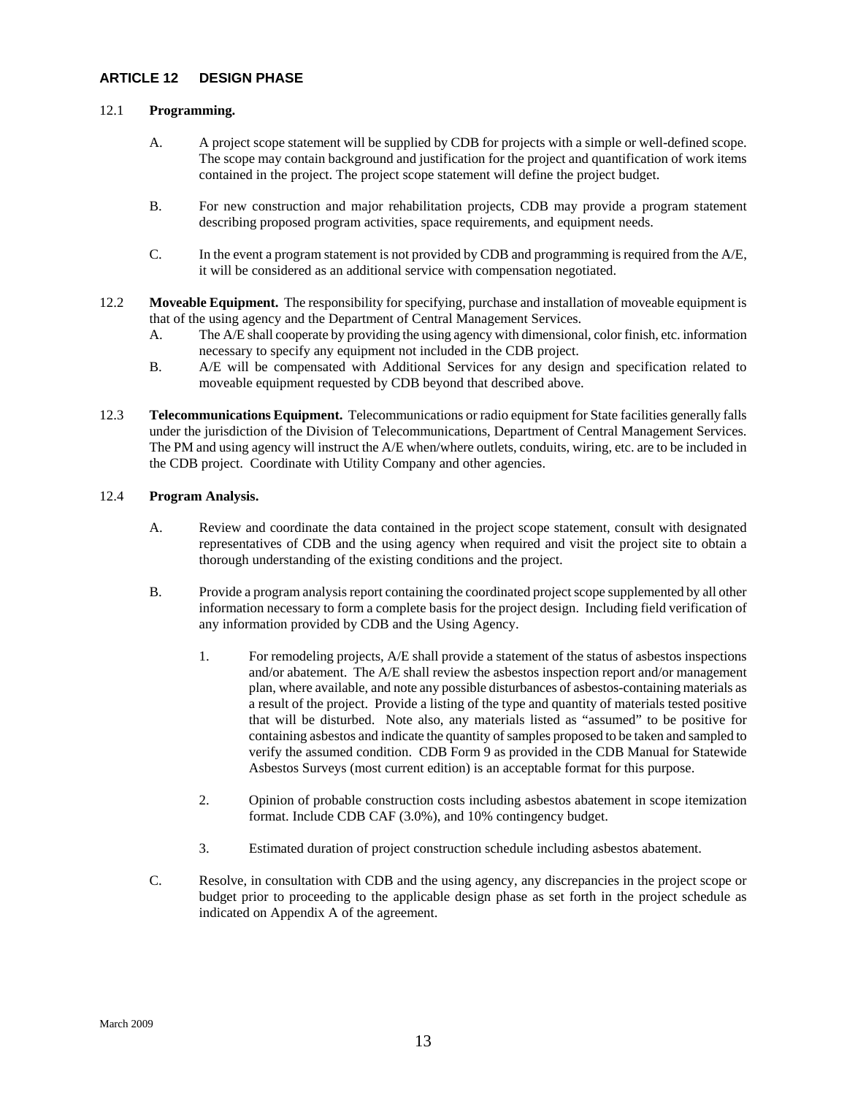#### <span id="page-14-0"></span>**ARTICLE 12 DESIGN PHASE**

#### 12.1 **Programming.**

- A. A project scope statement will be supplied by CDB for projects with a simple or well-defined scope. The scope may contain background and justification for the project and quantification of work items contained in the project. The project scope statement will define the project budget.
- B. For new construction and major rehabilitation projects, CDB may provide a program statement describing proposed program activities, space requirements, and equipment needs.
- C. In the event a program statement is not provided by CDB and programming is required from the A/E, it will be considered as an additional service with compensation negotiated.
- 12.2 **Moveable Equipment.** The responsibility for specifying, purchase and installation of moveable equipment is that of the using agency and the Department of Central Management Services.
	- A. The A/E shall cooperate by providing the using agency with dimensional, color finish, etc. information necessary to specify any equipment not included in the CDB project.
	- B. A/E will be compensated with Additional Services for any design and specification related to moveable equipment requested by CDB beyond that described above.
- 12.3 **Telecommunications Equipment.** Telecommunications or radio equipment for State facilities generally falls under the jurisdiction of the Division of Telecommunications, Department of Central Management Services. The PM and using agency will instruct the A/E when/where outlets, conduits, wiring, etc. are to be included in the CDB project. Coordinate with Utility Company and other agencies.

#### 12.4 **Program Analysis.**

- A. Review and coordinate the data contained in the project scope statement, consult with designated representatives of CDB and the using agency when required and visit the project site to obtain a thorough understanding of the existing conditions and the project.
- B. Provide a program analysis report containing the coordinated project scope supplemented by all other information necessary to form a complete basis for the project design. Including field verification of any information provided by CDB and the Using Agency.
	- 1. For remodeling projects, A/E shall provide a statement of the status of asbestos inspections and/or abatement. The A/E shall review the asbestos inspection report and/or management plan, where available, and note any possible disturbances of asbestos-containing materials as a result of the project. Provide a listing of the type and quantity of materials tested positive that will be disturbed. Note also, any materials listed as "assumed" to be positive for containing asbestos and indicate the quantity of samples proposed to be taken and sampled to verify the assumed condition. CDB Form 9 as provided in the CDB Manual for Statewide Asbestos Surveys (most current edition) is an acceptable format for this purpose.
	- 2. Opinion of probable construction costs including asbestos abatement in scope itemization format. Include CDB CAF (3.0%), and 10% contingency budget.
	- 3. Estimated duration of project construction schedule including asbestos abatement.
- C. Resolve, in consultation with CDB and the using agency, any discrepancies in the project scope or budget prior to proceeding to the applicable design phase as set forth in the project schedule as indicated on Appendix A of the agreement.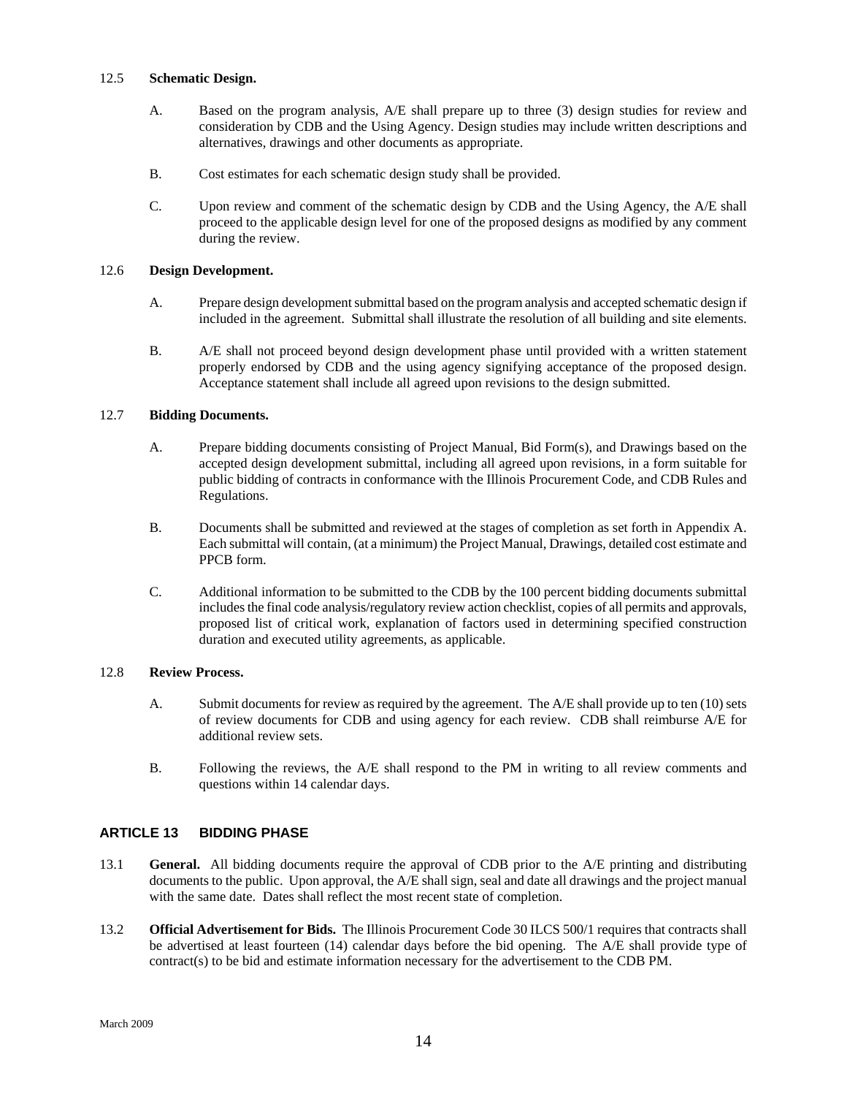#### <span id="page-15-0"></span>12.5 **Schematic Design.**

- A. Based on the program analysis, A/E shall prepare up to three (3) design studies for review and consideration by CDB and the Using Agency. Design studies may include written descriptions and alternatives, drawings and other documents as appropriate.
- B. Cost estimates for each schematic design study shall be provided.
- C. Upon review and comment of the schematic design by CDB and the Using Agency, the A/E shall proceed to the applicable design level for one of the proposed designs as modified by any comment during the review.

#### 12.6 **Design Development.**

- A. Prepare design development submittal based on the program analysis and accepted schematic design if included in the agreement. Submittal shall illustrate the resolution of all building and site elements.
- B. A/E shall not proceed beyond design development phase until provided with a written statement properly endorsed by CDB and the using agency signifying acceptance of the proposed design. Acceptance statement shall include all agreed upon revisions to the design submitted.

#### 12.7 **Bidding Documents.**

- A. Prepare bidding documents consisting of Project Manual, Bid Form(s), and Drawings based on the accepted design development submittal, including all agreed upon revisions, in a form suitable for public bidding of contracts in conformance with the Illinois Procurement Code, and CDB Rules and Regulations.
- B. Documents shall be submitted and reviewed at the stages of completion as set forth in Appendix A. Each submittal will contain, (at a minimum) the Project Manual, Drawings, detailed cost estimate and PPCB form.
- C. Additional information to be submitted to the CDB by the 100 percent bidding documents submittal includes the final code analysis/regulatory review action checklist, copies of all permits and approvals, proposed list of critical work, explanation of factors used in determining specified construction duration and executed utility agreements, as applicable.

#### 12.8 **Review Process.**

- A. Submit documents for review as required by the agreement. The A/E shall provide up to ten (10) sets of review documents for CDB and using agency for each review. CDB shall reimburse A/E for additional review sets.
- B. Following the reviews, the A/E shall respond to the PM in writing to all review comments and questions within 14 calendar days.

#### **ARTICLE 13 BIDDING PHASE**

- 13.1 **General.** All bidding documents require the approval of CDB prior to the A/E printing and distributing documents to the public. Upon approval, the A/E shall sign, seal and date all drawings and the project manual with the same date. Dates shall reflect the most recent state of completion.
- 13.2 **Official Advertisement for Bids.** The Illinois Procurement Code 30 ILCS 500/1 requires that contracts shall be advertised at least fourteen (14) calendar days before the bid opening. The A/E shall provide type of contract(s) to be bid and estimate information necessary for the advertisement to the CDB PM.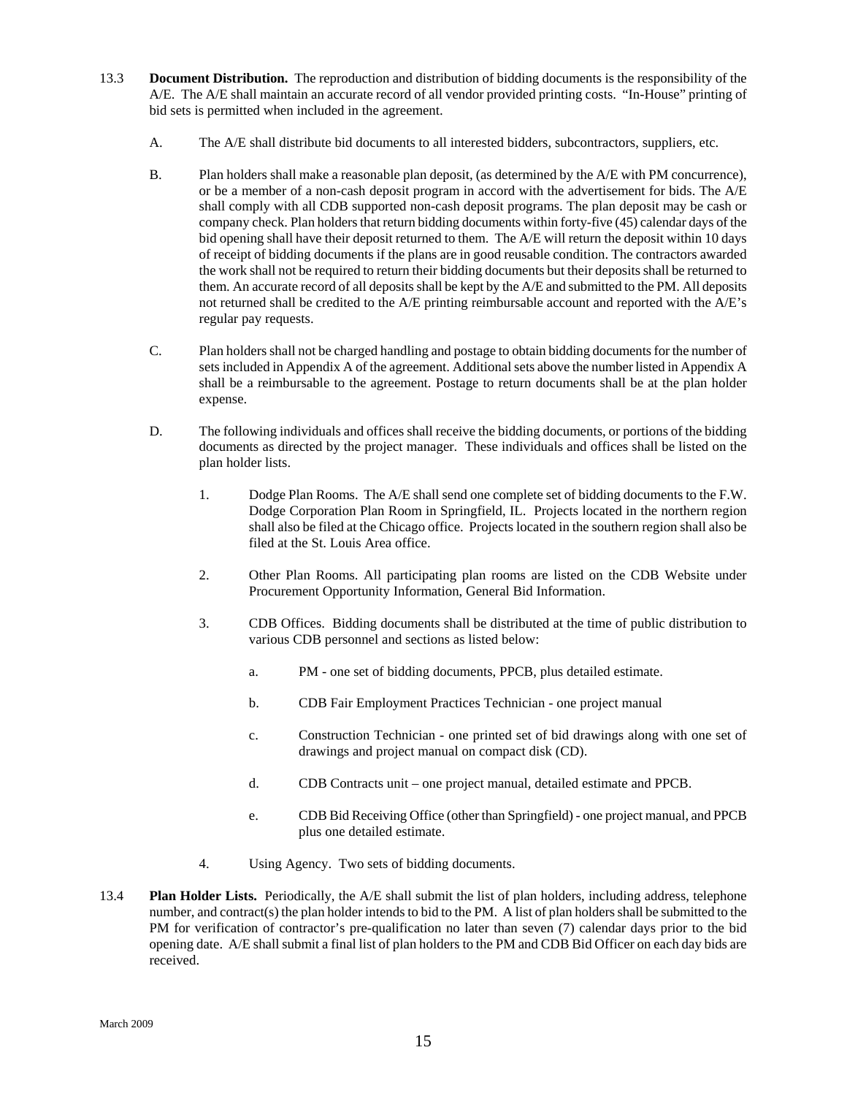- 13.3 **Document Distribution.** The reproduction and distribution of bidding documents is the responsibility of the A/E. The A/E shall maintain an accurate record of all vendor provided printing costs. "In-House" printing of bid sets is permitted when included in the agreement.
	- A. The A/E shall distribute bid documents to all interested bidders, subcontractors, suppliers, etc.
	- B. Plan holders shall make a reasonable plan deposit, (as determined by the A/E with PM concurrence), or be a member of a non-cash deposit program in accord with the advertisement for bids. The A/E shall comply with all CDB supported non-cash deposit programs. The plan deposit may be cash or company check. Plan holders that return bidding documents within forty-five (45) calendar days of the bid opening shall have their deposit returned to them. The A/E will return the deposit within 10 days of receipt of bidding documents if the plans are in good reusable condition. The contractors awarded the work shall not be required to return their bidding documents but their deposits shall be returned to them. An accurate record of all deposits shall be kept by the A/E and submitted to the PM. All deposits not returned shall be credited to the A/E printing reimbursable account and reported with the A/E's regular pay requests.
	- C. Plan holders shall not be charged handling and postage to obtain bidding documents for the number of sets included in Appendix A of the agreement. Additional sets above the number listed in Appendix A shall be a reimbursable to the agreement. Postage to return documents shall be at the plan holder expense.
	- D. The following individuals and offices shall receive the bidding documents, or portions of the bidding documents as directed by the project manager. These individuals and offices shall be listed on the plan holder lists.
		- 1. Dodge Plan Rooms. The A/E shall send one complete set of bidding documents to the F.W. Dodge Corporation Plan Room in Springfield, IL. Projects located in the northern region shall also be filed at the Chicago office. Projects located in the southern region shall also be filed at the St. Louis Area office.
		- 2. Other Plan Rooms. All participating plan rooms are listed on the CDB Website under Procurement Opportunity Information, General Bid Information.
		- 3. CDB Offices. Bidding documents shall be distributed at the time of public distribution to various CDB personnel and sections as listed below:
			- a. PM one set of bidding documents, PPCB, plus detailed estimate.
			- b. CDB Fair Employment Practices Technician one project manual
			- c. Construction Technician one printed set of bid drawings along with one set of drawings and project manual on compact disk (CD).
			- d. CDB Contracts unit one project manual, detailed estimate and PPCB.
			- e. CDB Bid Receiving Office (other than Springfield) one project manual, and PPCB plus one detailed estimate.
		- 4. Using Agency. Two sets of bidding documents.
- 13.4 **Plan Holder Lists.** Periodically, the A/E shall submit the list of plan holders, including address, telephone number, and contract(s) the plan holder intends to bid to the PM. A list of plan holders shall be submitted to the PM for verification of contractor's pre-qualification no later than seven (7) calendar days prior to the bid opening date. A/E shall submit a final list of plan holders to the PM and CDB Bid Officer on each day bids are received.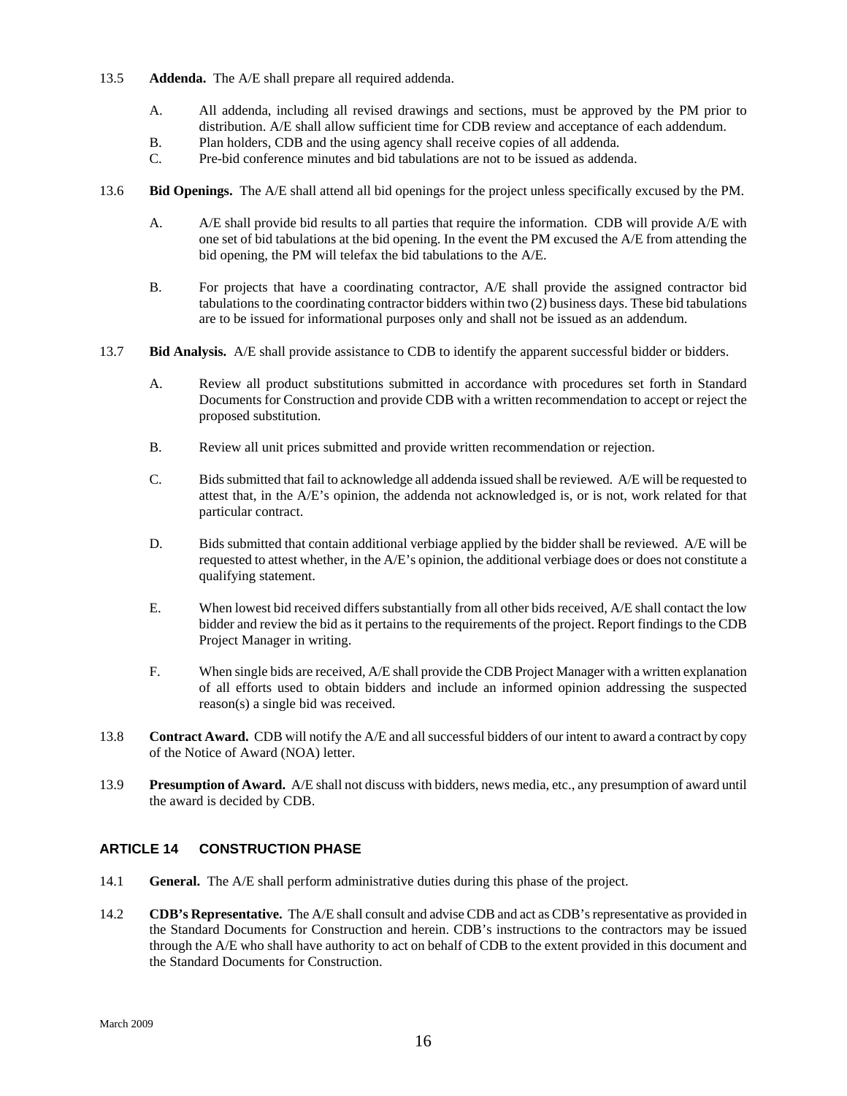- <span id="page-17-0"></span>13.5 **Addenda.** The A/E shall prepare all required addenda.
	- A. All addenda, including all revised drawings and sections, must be approved by the PM prior to distribution. A/E shall allow sufficient time for CDB review and acceptance of each addendum.
	- B. Plan holders, CDB and the using agency shall receive copies of all addenda.
	- C. Pre-bid conference minutes and bid tabulations are not to be issued as addenda.
- 13.6 **Bid Openings.** The A/E shall attend all bid openings for the project unless specifically excused by the PM.
	- A. A/E shall provide bid results to all parties that require the information. CDB will provide A/E with one set of bid tabulations at the bid opening. In the event the PM excused the A/E from attending the bid opening, the PM will telefax the bid tabulations to the A/E.
	- B. For projects that have a coordinating contractor, A/E shall provide the assigned contractor bid tabulations to the coordinating contractor bidders within two (2) business days. These bid tabulations are to be issued for informational purposes only and shall not be issued as an addendum.
- 13.7 **Bid Analysis.** A/E shall provide assistance to CDB to identify the apparent successful bidder or bidders.
	- A. Review all product substitutions submitted in accordance with procedures set forth in Standard Documents for Construction and provide CDB with a written recommendation to accept or reject the proposed substitution.
	- B. Review all unit prices submitted and provide written recommendation or rejection.
	- C. Bids submitted that fail to acknowledge all addenda issued shall be reviewed. A/E will be requested to attest that, in the A/E's opinion, the addenda not acknowledged is, or is not, work related for that particular contract.
	- D. Bids submitted that contain additional verbiage applied by the bidder shall be reviewed. A/E will be requested to attest whether, in the A/E's opinion, the additional verbiage does or does not constitute a qualifying statement.
	- E. When lowest bid received differs substantially from all other bids received, A/E shall contact the low bidder and review the bid as it pertains to the requirements of the project. Report findings to the CDB Project Manager in writing.
	- F. When single bids are received, A/E shall provide the CDB Project Manager with a written explanation of all efforts used to obtain bidders and include an informed opinion addressing the suspected reason(s) a single bid was received.
- 13.8 **Contract Award.** CDB will notify the A/E and all successful bidders of our intent to award a contract by copy of the Notice of Award (NOA) letter.
- 13.9 **Presumption of Award.** A/E shall not discuss with bidders, news media, etc., any presumption of award until the award is decided by CDB.

# **ARTICLE 14 CONSTRUCTION PHASE**

- 14.1 **General.** The A/E shall perform administrative duties during this phase of the project.
- 14.2 **CDB's Representative.** The A/E shall consult and advise CDB and act as CDB's representative as provided in the Standard Documents for Construction and herein. CDB's instructions to the contractors may be issued through the A/E who shall have authority to act on behalf of CDB to the extent provided in this document and the Standard Documents for Construction.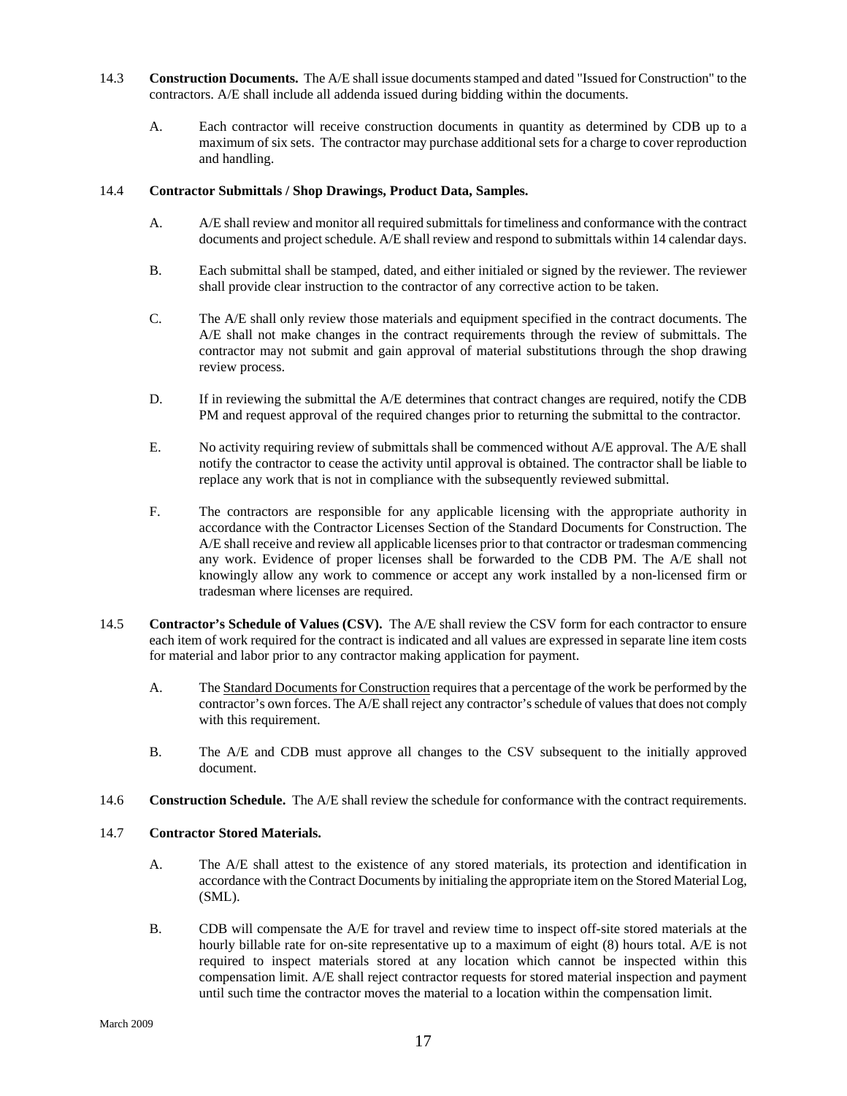- 14.3 **Construction Documents.**The A/E shall issue documents stamped and dated "Issued for Construction" to the contractors. A/E shall include all addenda issued during bidding within the documents.
	- A. Each contractor will receive construction documents in quantity as determined by CDB up to a maximum of six sets. The contractor may purchase additional sets for a charge to cover reproduction and handling.

#### 14.4 **Contractor Submittals / Shop Drawings, Product Data, Samples.**

- A. A/E shall review and monitor all required submittals for timeliness and conformance with the contract documents and project schedule. A/E shall review and respond to submittals within 14 calendar days.
- B. Each submittal shall be stamped, dated, and either initialed or signed by the reviewer. The reviewer shall provide clear instruction to the contractor of any corrective action to be taken.
- C. The A/E shall only review those materials and equipment specified in the contract documents. The A/E shall not make changes in the contract requirements through the review of submittals. The contractor may not submit and gain approval of material substitutions through the shop drawing review process.
- D. If in reviewing the submittal the A/E determines that contract changes are required, notify the CDB PM and request approval of the required changes prior to returning the submittal to the contractor.
- E. No activity requiring review of submittals shall be commenced without A/E approval. The A/E shall notify the contractor to cease the activity until approval is obtained. The contractor shall be liable to replace any work that is not in compliance with the subsequently reviewed submittal.
- F. The contractors are responsible for any applicable licensing with the appropriate authority in accordance with the Contractor Licenses Section of the Standard Documents for Construction. The A/E shall receive and review all applicable licenses prior to that contractor or tradesman commencing any work. Evidence of proper licenses shall be forwarded to the CDB PM. The A/E shall not knowingly allow any work to commence or accept any work installed by a non-licensed firm or tradesman where licenses are required.
- 14.5 **Contractor's Schedule of Values (CSV).** The A/E shall review the CSV form for each contractor to ensure each item of work required for the contract is indicated and all values are expressed in separate line item costs for material and labor prior to any contractor making application for payment.
	- A. The Standard Documents for Construction requires that a percentage of the work be performed by the contractor's own forces. The A/E shall reject any contractor's schedule of values that does not comply with this requirement.
	- B. The A/E and CDB must approve all changes to the CSV subsequent to the initially approved document.
- 14.6 **Construction Schedule.** The A/E shall review the schedule for conformance with the contract requirements.

#### 14.7 **Contractor Stored Materials.**

- A. The A/E shall attest to the existence of any stored materials, its protection and identification in accordance with the Contract Documents by initialing the appropriate item on the Stored Material Log, (SML).
- B. CDB will compensate the A/E for travel and review time to inspect off-site stored materials at the hourly billable rate for on-site representative up to a maximum of eight (8) hours total. A/E is not required to inspect materials stored at any location which cannot be inspected within this compensation limit. A/E shall reject contractor requests for stored material inspection and payment until such time the contractor moves the material to a location within the compensation limit.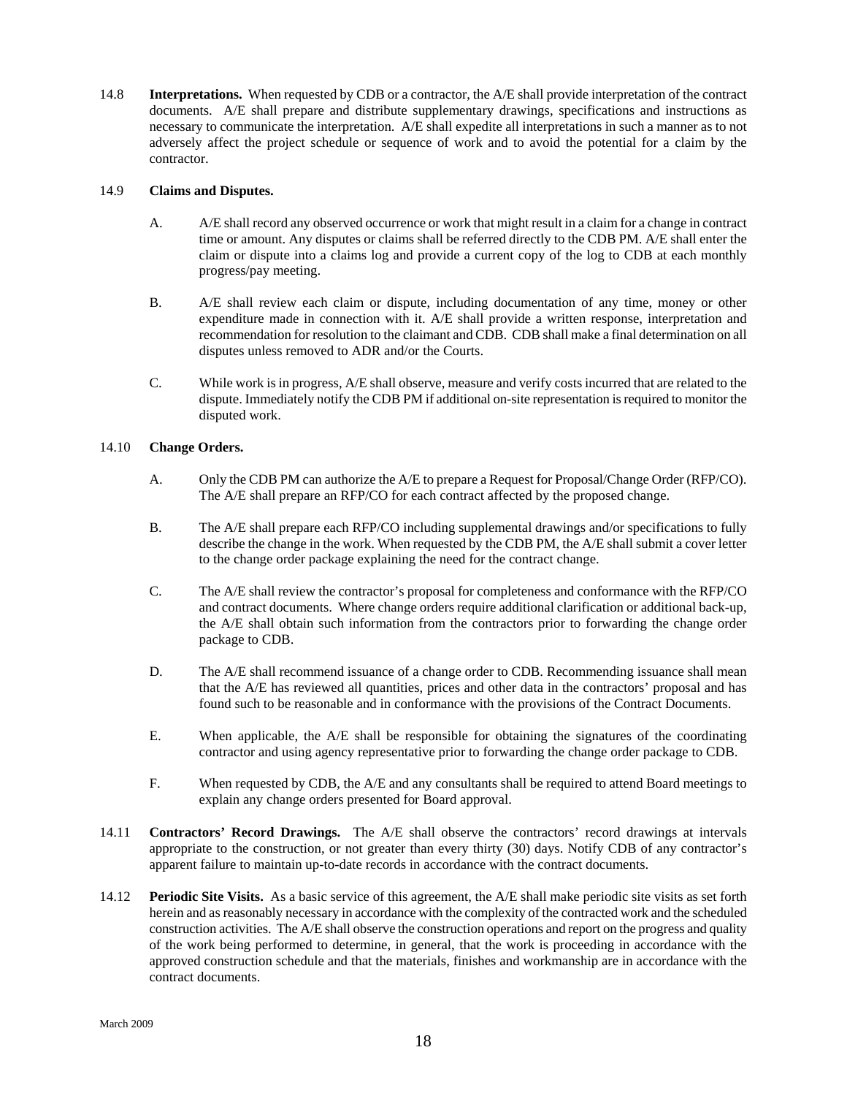14.8 **Interpretations.** When requested by CDB or a contractor, the A/E shall provide interpretation of the contract documents. A/E shall prepare and distribute supplementary drawings, specifications and instructions as necessary to communicate the interpretation. A/E shall expedite all interpretations in such a manner as to not adversely affect the project schedule or sequence of work and to avoid the potential for a claim by the contractor.

#### 14.9 **Claims and Disputes.**

- A. A/E shall record any observed occurrence or work that might result in a claim for a change in contract time or amount. Any disputes or claims shall be referred directly to the CDB PM. A/E shall enter the claim or dispute into a claims log and provide a current copy of the log to CDB at each monthly progress/pay meeting.
- B. A/E shall review each claim or dispute, including documentation of any time, money or other expenditure made in connection with it. A/E shall provide a written response, interpretation and recommendation for resolution to the claimant and CDB. CDB shall make a final determination on all disputes unless removed to ADR and/or the Courts.
- C. While work is in progress, A/E shall observe, measure and verify costs incurred that are related to the dispute. Immediately notify the CDB PM if additional on-site representation is required to monitor the disputed work.

#### 14.10 **Change Orders.**

- A. Only the CDB PM can authorize the A/E to prepare a Request for Proposal/Change Order (RFP/CO). The A/E shall prepare an RFP/CO for each contract affected by the proposed change.
- B. The A/E shall prepare each RFP/CO including supplemental drawings and/or specifications to fully describe the change in the work. When requested by the CDB PM, the A/E shall submit a cover letter to the change order package explaining the need for the contract change.
- C. The A/E shall review the contractor's proposal for completeness and conformance with the RFP/CO and contract documents. Where change orders require additional clarification or additional back-up, the A/E shall obtain such information from the contractors prior to forwarding the change order package to CDB.
- D. The A/E shall recommend issuance of a change order to CDB. Recommending issuance shall mean that the A/E has reviewed all quantities, prices and other data in the contractors' proposal and has found such to be reasonable and in conformance with the provisions of the Contract Documents.
- E. When applicable, the A/E shall be responsible for obtaining the signatures of the coordinating contractor and using agency representative prior to forwarding the change order package to CDB.
- F. When requested by CDB, the A/E and any consultants shall be required to attend Board meetings to explain any change orders presented for Board approval.
- 14.11 **Contractors' Record Drawings.** The A/E shall observe the contractors' record drawings at intervals appropriate to the construction, or not greater than every thirty (30) days. Notify CDB of any contractor's apparent failure to maintain up-to-date records in accordance with the contract documents.
- 14.12 **Periodic Site Visits.** As a basic service of this agreement, the A/E shall make periodic site visits as set forth herein and as reasonably necessary in accordance with the complexity of the contracted work and the scheduled construction activities. The A/E shall observe the construction operations and report on the progress and quality of the work being performed to determine, in general, that the work is proceeding in accordance with the approved construction schedule and that the materials, finishes and workmanship are in accordance with the contract documents.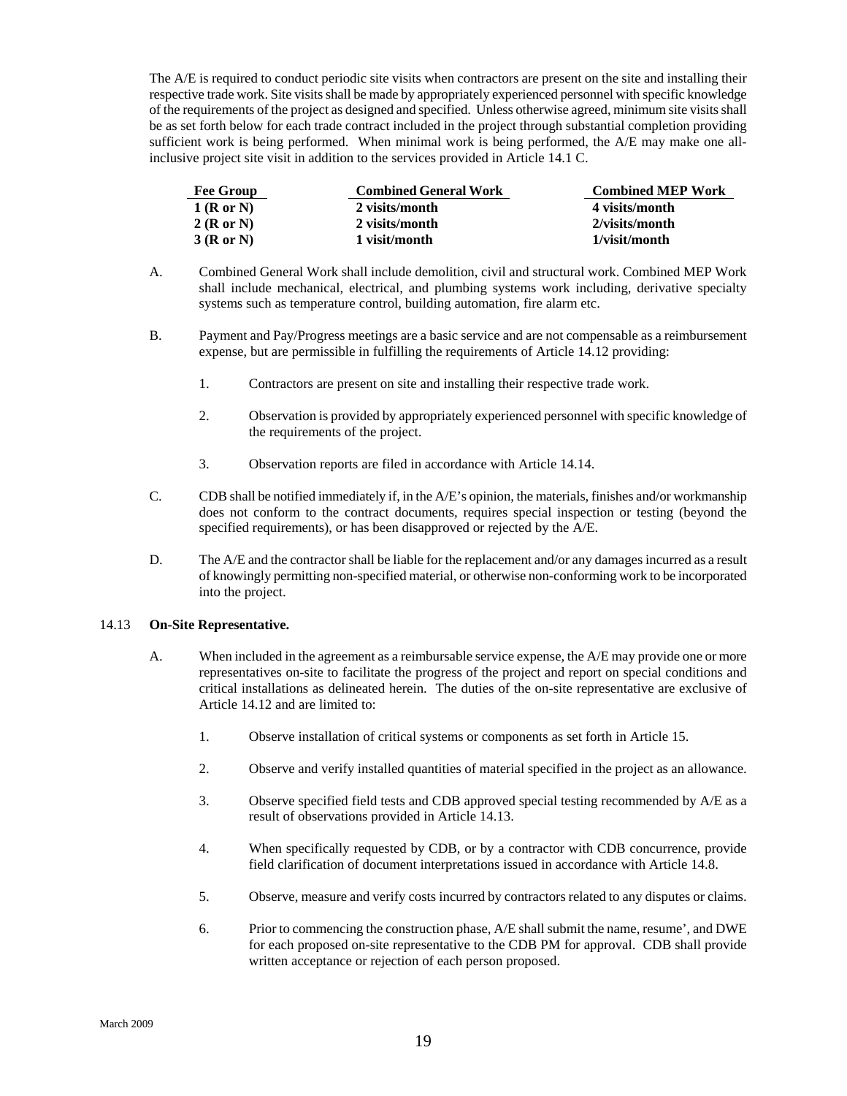The A/E is required to conduct periodic site visits when contractors are present on the site and installing their respective trade work. Site visits shall be made by appropriately experienced personnel with specific knowledge of the requirements of the project as designed and specified. Unless otherwise agreed, minimum site visits shall be as set forth below for each trade contract included in the project through substantial completion providing sufficient work is being performed. When minimal work is being performed, the A/E may make one allinclusive project site visit in addition to the services provided in Article 14.1 C.

| <b>Fee Group</b> | <b>Combined General Work</b> | <b>Combined MEP Work</b> |
|------------------|------------------------------|--------------------------|
| $1$ (R or N)     | 2 visits/month               | 4 visits/month           |
| 2(RorN)          | 2 visits/month               | 2/visits/month           |
| 3(RorN)          | 1 visit/month                | 1/visit/month            |

- A. Combined General Work shall include demolition, civil and structural work. Combined MEP Work shall include mechanical, electrical, and plumbing systems work including, derivative specialty systems such as temperature control, building automation, fire alarm etc.
- B. Payment and Pay/Progress meetings are a basic service and are not compensable as a reimbursement expense, but are permissible in fulfilling the requirements of Article 14.12 providing:
	- 1. Contractors are present on site and installing their respective trade work.
	- 2. Observation is provided by appropriately experienced personnel with specific knowledge of the requirements of the project.
	- 3. Observation reports are filed in accordance with Article 14.14.
- C. CDB shall be notified immediately if, in the A/E's opinion, the materials, finishes and/or workmanship does not conform to the contract documents, requires special inspection or testing (beyond the specified requirements), or has been disapproved or rejected by the A/E.
- D. The A/E and the contractor shall be liable for the replacement and/or any damages incurred as a result of knowingly permitting non-specified material, or otherwise non-conforming work to be incorporated into the project.

#### 14.13 **On-Site Representative.**

- A. When included in the agreement as a reimbursable service expense, the A/E may provide one or more representatives on-site to facilitate the progress of the project and report on special conditions and critical installations as delineated herein. The duties of the on-site representative are exclusive of Article 14.12 and are limited to:
	- 1. Observe installation of critical systems or components as set forth in Article 15.
	- 2. Observe and verify installed quantities of material specified in the project as an allowance.
	- 3. Observe specified field tests and CDB approved special testing recommended by A/E as a result of observations provided in Article 14.13.
	- 4. When specifically requested by CDB, or by a contractor with CDB concurrence, provide field clarification of document interpretations issued in accordance with Article 14.8.
	- 5. Observe, measure and verify costs incurred by contractors related to any disputes or claims.
	- 6. Prior to commencing the construction phase, A/E shall submit the name, resume', and DWE for each proposed on-site representative to the CDB PM for approval. CDB shall provide written acceptance or rejection of each person proposed.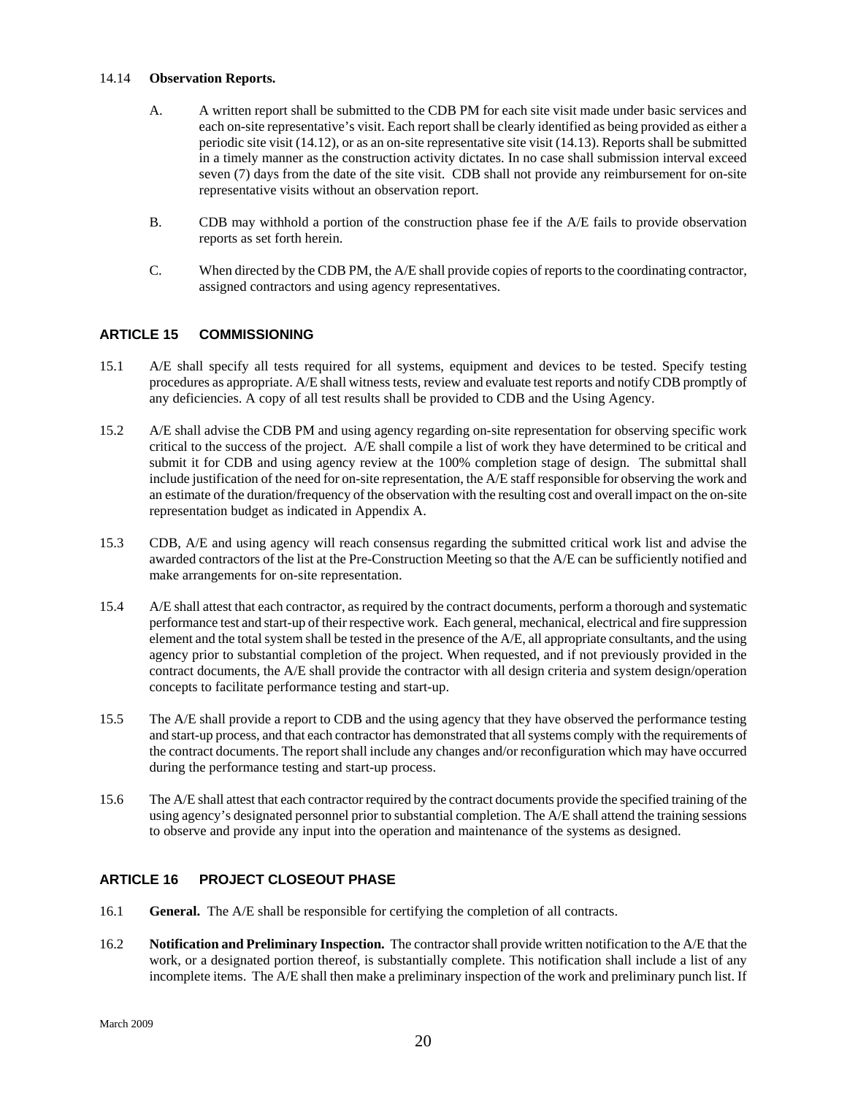#### <span id="page-21-0"></span>14.14 **Observation Reports.**

- A. A written report shall be submitted to the CDB PM for each site visit made under basic services and each on-site representative's visit. Each report shall be clearly identified as being provided as either a periodic site visit (14.12), or as an on-site representative site visit (14.13). Reports shall be submitted in a timely manner as the construction activity dictates. In no case shall submission interval exceed seven (7) days from the date of the site visit. CDB shall not provide any reimbursement for on-site representative visits without an observation report.
- B. CDB may withhold a portion of the construction phase fee if the A/E fails to provide observation reports as set forth herein.
- C. When directed by the CDB PM, the A/E shall provide copies of reports to the coordinating contractor, assigned contractors and using agency representatives.

# **ARTICLE 15 COMMISSIONING**

- 15.1 A/E shall specify all tests required for all systems, equipment and devices to be tested. Specify testing procedures as appropriate. A/E shall witness tests, review and evaluate test reports and notify CDB promptly of any deficiencies. A copy of all test results shall be provided to CDB and the Using Agency.
- 15.2 A/E shall advise the CDB PM and using agency regarding on-site representation for observing specific work critical to the success of the project. A/E shall compile a list of work they have determined to be critical and submit it for CDB and using agency review at the 100% completion stage of design. The submittal shall include justification of the need for on-site representation, the A/E staff responsible for observing the work and an estimate of the duration/frequency of the observation with the resulting cost and overall impact on the on-site representation budget as indicated in Appendix A.
- 15.3 CDB, A/E and using agency will reach consensus regarding the submitted critical work list and advise the awarded contractors of the list at the Pre-Construction Meeting so that the A/E can be sufficiently notified and make arrangements for on-site representation.
- 15.4 A/E shall attest that each contractor, as required by the contract documents, perform a thorough and systematic performance test and start-up of their respective work. Each general, mechanical, electrical and fire suppression element and the total system shall be tested in the presence of the A/E, all appropriate consultants, and the using agency prior to substantial completion of the project. When requested, and if not previously provided in the contract documents, the A/E shall provide the contractor with all design criteria and system design/operation concepts to facilitate performance testing and start-up.
- 15.5 The A/E shall provide a report to CDB and the using agency that they have observed the performance testing and start-up process, and that each contractor has demonstrated that all systems comply with the requirements of the contract documents. The report shall include any changes and/or reconfiguration which may have occurred during the performance testing and start-up process.
- 15.6 The A/E shall attest that each contractor required by the contract documents provide the specified training of the using agency's designated personnel prior to substantial completion. The A/E shall attend the training sessions to observe and provide any input into the operation and maintenance of the systems as designed.

# **ARTICLE 16 PROJECT CLOSEOUT PHASE**

- 16.1 **General.** The A/E shall be responsible for certifying the completion of all contracts.
- 16.2 **Notification and Preliminary Inspection.** The contractor shall provide written notification to the A/E that the work, or a designated portion thereof, is substantially complete. This notification shall include a list of any incomplete items. The A/E shall then make a preliminary inspection of the work and preliminary punch list. If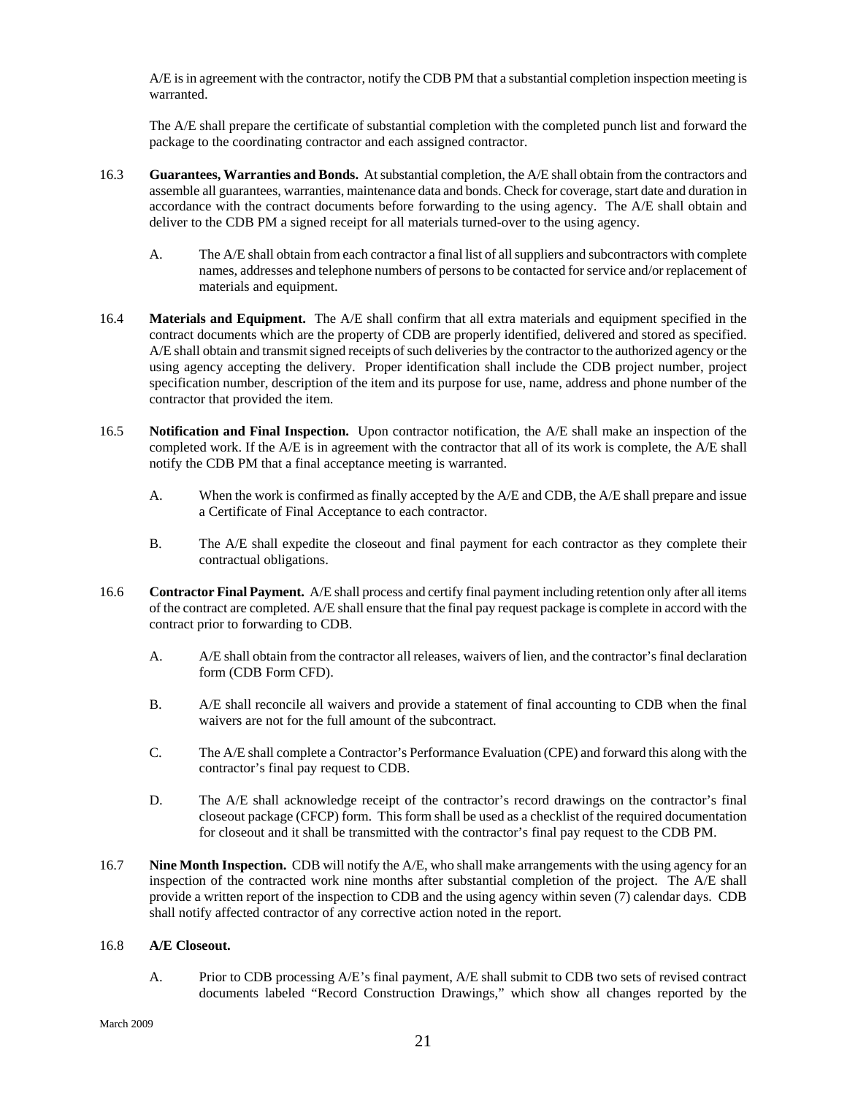A/E is in agreement with the contractor, notify the CDB PM that a substantial completion inspection meeting is warranted.

The A/E shall prepare the certificate of substantial completion with the completed punch list and forward the package to the coordinating contractor and each assigned contractor.

- 16.3 **Guarantees, Warranties and Bonds.** At substantial completion, the A/E shall obtain from the contractors and assemble all guarantees, warranties, maintenance data and bonds. Check for coverage, start date and duration in accordance with the contract documents before forwarding to the using agency. The A/E shall obtain and deliver to the CDB PM a signed receipt for all materials turned-over to the using agency.
	- A. The A/E shall obtain from each contractor a final list of all suppliers and subcontractors with complete names, addresses and telephone numbers of persons to be contacted for service and/or replacement of materials and equipment.
- 16.4 **Materials and Equipment.** The A/E shall confirm that all extra materials and equipment specified in the contract documents which are the property of CDB are properly identified, delivered and stored as specified. A/E shall obtain and transmit signed receipts of such deliveries by the contractor to the authorized agency or the using agency accepting the delivery. Proper identification shall include the CDB project number, project specification number, description of the item and its purpose for use, name, address and phone number of the contractor that provided the item.
- 16.5 **Notification and Final Inspection.** Upon contractor notification, the A/E shall make an inspection of the completed work. If the A/E is in agreement with the contractor that all of its work is complete, the A/E shall notify the CDB PM that a final acceptance meeting is warranted.
	- A. When the work is confirmed as finally accepted by the A/E and CDB, the A/E shall prepare and issue a Certificate of Final Acceptance to each contractor.
	- B. The A/E shall expedite the closeout and final payment for each contractor as they complete their contractual obligations.
- 16.6 **Contractor Final Payment.** A/E shall process and certify final payment including retention only after all items of the contract are completed. A/E shall ensure that the final pay request package is complete in accord with the contract prior to forwarding to CDB.
	- A. A/E shall obtain from the contractor all releases, waivers of lien, and the contractor's final declaration form (CDB Form CFD).
	- B. A/E shall reconcile all waivers and provide a statement of final accounting to CDB when the final waivers are not for the full amount of the subcontract.
	- C. The A/E shall complete a Contractor's Performance Evaluation (CPE) and forward this along with the contractor's final pay request to CDB.
	- D. The A/E shall acknowledge receipt of the contractor's record drawings on the contractor's final closeout package (CFCP) form. This form shall be used as a checklist of the required documentation for closeout and it shall be transmitted with the contractor's final pay request to the CDB PM.
- 16.7 **Nine Month Inspection.** CDB will notify the A/E, who shall make arrangements with the using agency for an inspection of the contracted work nine months after substantial completion of the project. The A/E shall provide a written report of the inspection to CDB and the using agency within seven (7) calendar days. CDB shall notify affected contractor of any corrective action noted in the report.

# 16.8 **A/E Closeout.**

A. Prior to CDB processing A/E's final payment, A/E shall submit to CDB two sets of revised contract documents labeled "Record Construction Drawings," which show all changes reported by the

March 2009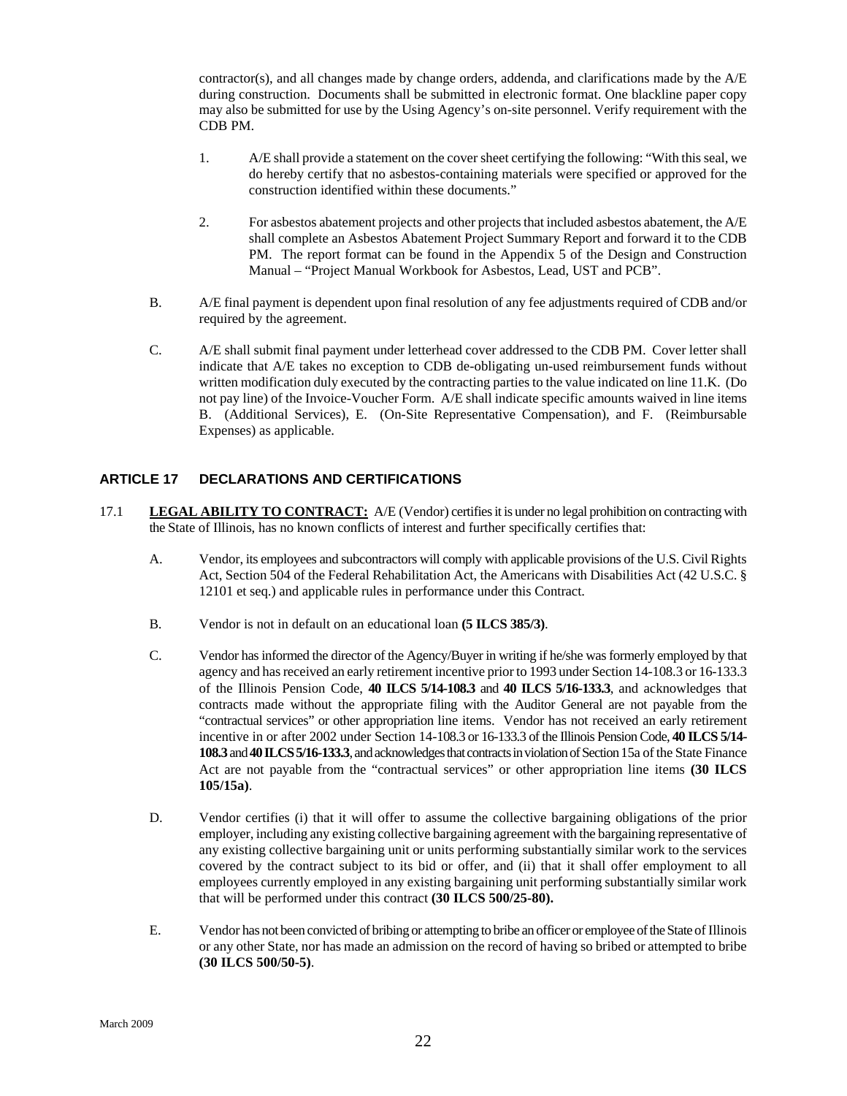<span id="page-23-0"></span>contractor(s), and all changes made by change orders, addenda, and clarifications made by the A/E during construction. Documents shall be submitted in electronic format. One blackline paper copy may also be submitted for use by the Using Agency's on-site personnel. Verify requirement with the CDB PM.

- 1. A/E shall provide a statement on the cover sheet certifying the following: "With this seal, we do hereby certify that no asbestos-containing materials were specified or approved for the construction identified within these documents."
- 2. For asbestos abatement projects and other projects that included asbestos abatement, the A/E shall complete an Asbestos Abatement Project Summary Report and forward it to the CDB PM. The report format can be found in the Appendix 5 of the Design and Construction Manual – "Project Manual Workbook for Asbestos, Lead, UST and PCB".
- B. A/E final payment is dependent upon final resolution of any fee adjustments required of CDB and/or required by the agreement.
- C. A/E shall submit final payment under letterhead cover addressed to the CDB PM. Cover letter shall indicate that A/E takes no exception to CDB de-obligating un-used reimbursement funds without written modification duly executed by the contracting parties to the value indicated on line 11.K. (Do not pay line) of the Invoice-Voucher Form. A/E shall indicate specific amounts waived in line items B. (Additional Services), E. (On-Site Representative Compensation), and F. (Reimbursable Expenses) as applicable.

#### **ARTICLE 17 DECLARATIONS AND CERTIFICATIONS**

- 17.1 **LEGAL ABILITY TO CONTRACT:** A/E (Vendor) certifies it is under no legal prohibition on contracting with the State of Illinois, has no known conflicts of interest and further specifically certifies that:
	- A. Vendor, its employees and subcontractors will comply with applicable provisions of the U.S. Civil Rights Act, Section 504 of the Federal Rehabilitation Act, the Americans with Disabilities Act (42 U.S.C. § 12101 et seq.) and applicable rules in performance under this Contract.
	- B. Vendor is not in default on an educational loan **(5 ILCS 385/3)**.
	- C. Vendor has informed the director of the Agency/Buyer in writing if he/she was formerly employed by that agency and has received an early retirement incentive prior to 1993 under Section 14-108.3 or 16-133.3 of the Illinois Pension Code, **40 ILCS 5/14-108.3** and **40 ILCS 5/16-133.3**, and acknowledges that contracts made without the appropriate filing with the Auditor General are not payable from the "contractual services" or other appropriation line items. Vendor has not received an early retirement incentive in or after 2002 under Section 14-108.3 or 16-133.3 of the Illinois Pension Code, **40 ILCS 5/14- 108.3** and **40 ILCS 5/16-133.3**, and acknowledges that contracts in violation of Section 15a of the State Finance Act are not payable from the "contractual services" or other appropriation line items **(30 ILCS 105/15a)**.
	- D. Vendor certifies (i) that it will offer to assume the collective bargaining obligations of the prior employer, including any existing collective bargaining agreement with the bargaining representative of any existing collective bargaining unit or units performing substantially similar work to the services covered by the contract subject to its bid or offer, and (ii) that it shall offer employment to all employees currently employed in any existing bargaining unit performing substantially similar work that will be performed under this contract **(30 ILCS 500/25-80).**
	- E. Vendor has not been convicted of bribing or attempting to bribe an officer or employee of the State of Illinois or any other State, nor has made an admission on the record of having so bribed or attempted to bribe **(30 ILCS 500/50-5)**.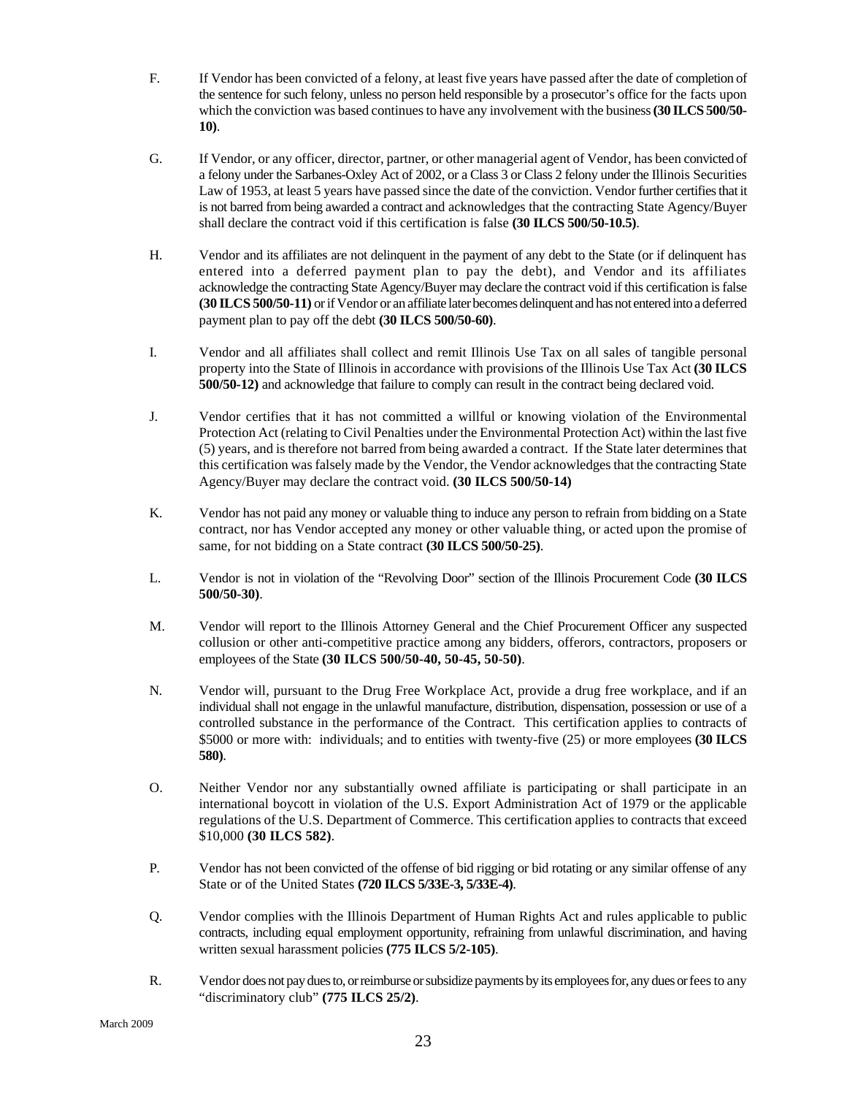- F. If Vendor has been convicted of a felony, at least five years have passed after the date of completion of the sentence for such felony, unless no person held responsible by a prosecutor's office for the facts upon which the conviction was based continues to have any involvement with the business **(30 ILCS 500/50- 10)**.
- G. If Vendor, or any officer, director, partner, or other managerial agent of Vendor, has been convicted of a felony under the Sarbanes-Oxley Act of 2002, or a Class 3 or Class 2 felony under the Illinois Securities Law of 1953, at least 5 years have passed since the date of the conviction. Vendor further certifies that it is not barred from being awarded a contract and acknowledges that the contracting State Agency/Buyer shall declare the contract void if this certification is false **(30 ILCS 500/50-10.5)**.
- H. Vendor and its affiliates are not delinquent in the payment of any debt to the State (or if delinquent has entered into a deferred payment plan to pay the debt), and Vendor and its affiliates acknowledge the contracting State Agency/Buyer may declare the contract void if this certification is false **(30 ILCS 500/50-11)** or if Vendor or an affiliate later becomes delinquent and has not entered into a deferred payment plan to pay off the debt **(30 ILCS 500/50-60)**.
- I. Vendor and all affiliates shall collect and remit Illinois Use Tax on all sales of tangible personal property into the State of Illinois in accordance with provisions of the Illinois Use Tax Act **(30 ILCS 500/50-12)** and acknowledge that failure to comply can result in the contract being declared void.
- J. Vendor certifies that it has not committed a willful or knowing violation of the Environmental Protection Act (relating to Civil Penalties under the Environmental Protection Act) within the last five (5) years, and is therefore not barred from being awarded a contract. If the State later determines that this certification was falsely made by the Vendor, the Vendor acknowledges that the contracting State Agency/Buyer may declare the contract void. **(30 ILCS 500/50-14)**
- K. Vendor has not paid any money or valuable thing to induce any person to refrain from bidding on a State contract, nor has Vendor accepted any money or other valuable thing, or acted upon the promise of same, for not bidding on a State contract **(30 ILCS 500/50-25)**.
- L. Vendor is not in violation of the "Revolving Door" section of the Illinois Procurement Code **(30 ILCS 500/50-30)**.
- M. Vendor will report to the Illinois Attorney General and the Chief Procurement Officer any suspected collusion or other anti-competitive practice among any bidders, offerors, contractors, proposers or employees of the State **(30 ILCS 500/50-40, 50-45, 50-50)**.
- N. Vendor will, pursuant to the Drug Free Workplace Act, provide a drug free workplace, and if an individual shall not engage in the unlawful manufacture, distribution, dispensation, possession or use of a controlled substance in the performance of the Contract. This certification applies to contracts of \$5000 or more with: individuals; and to entities with twenty-five (25) or more employees **(30 ILCS 580)**.
- O. Neither Vendor nor any substantially owned affiliate is participating or shall participate in an international boycott in violation of the U.S. Export Administration Act of 1979 or the applicable regulations of the U.S. Department of Commerce. This certification applies to contracts that exceed \$10,000 **(30 ILCS 582)**.
- P. Vendor has not been convicted of the offense of bid rigging or bid rotating or any similar offense of any State or of the United States **(720 ILCS 5/33E-3, 5/33E-4)**.
- Q. Vendor complies with the Illinois Department of Human Rights Act and rules applicable to public contracts, including equal employment opportunity, refraining from unlawful discrimination, and having written sexual harassment policies **(775 ILCS 5/2-105)**.
- R. Vendor does not pay dues to, or reimburse or subsidize payments by its employees for, any dues or fees to any "discriminatory club" **(775 ILCS 25/2)**.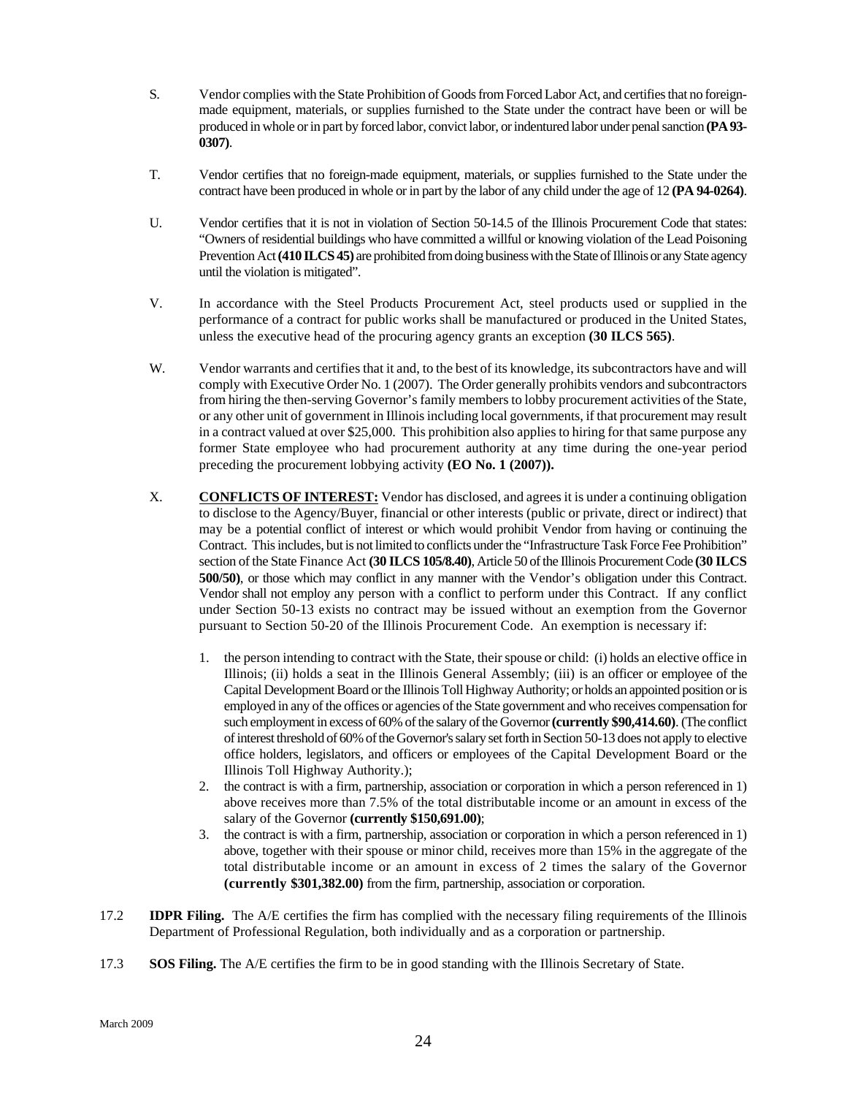- S. Vendor complies with the State Prohibition of Goods from Forced Labor Act, and certifies that no foreignmade equipment, materials, or supplies furnished to the State under the contract have been or will be produced in whole or in part by forced labor, convict labor, or indentured labor under penal sanction **(PA 93- 0307)**.
- T. Vendor certifies that no foreign-made equipment, materials, or supplies furnished to the State under the contract have been produced in whole or in part by the labor of any child under the age of 12 **(PA 94-0264)**.
- U. Vendor certifies that it is not in violation of Section 50-14.5 of the Illinois Procurement Code that states: "Owners of residential buildings who have committed a willful or knowing violation of the Lead Poisoning Prevention Act **(410 ILCS 45)** are prohibited from doing business with the State of Illinois or any State agency until the violation is mitigated".
- V. In accordance with the Steel Products Procurement Act, steel products used or supplied in the performance of a contract for public works shall be manufactured or produced in the United States, unless the executive head of the procuring agency grants an exception **(30 ILCS 565)**.
- W. Vendor warrants and certifies that it and, to the best of its knowledge, its subcontractors have and will comply with Executive Order No. 1 (2007). The Order generally prohibits vendors and subcontractors from hiring the then-serving Governor's family members to lobby procurement activities of the State, or any other unit of government in Illinois including local governments, if that procurement may result in a contract valued at over \$25,000. This prohibition also applies to hiring for that same purpose any former State employee who had procurement authority at any time during the one-year period preceding the procurement lobbying activity **(EO No. 1 (2007)).**
- X. **CONFLICTS OF INTEREST:** Vendor has disclosed, and agrees it is under a continuing obligation to disclose to the Agency/Buyer, financial or other interests (public or private, direct or indirect) that may be a potential conflict of interest or which would prohibit Vendor from having or continuing the Contract. This includes, but is not limited to conflicts under the "Infrastructure Task Force Fee Prohibition" section of the State Finance Act **(30 ILCS 105/8.40)**, Article 50 of the Illinois Procurement Code **(30 ILCS 500/50)**, or those which may conflict in any manner with the Vendor's obligation under this Contract. Vendor shall not employ any person with a conflict to perform under this Contract. If any conflict under Section 50-13 exists no contract may be issued without an exemption from the Governor pursuant to Section 50-20 of the Illinois Procurement Code. An exemption is necessary if:
	- 1. the person intending to contract with the State, their spouse or child: (i) holds an elective office in Illinois; (ii) holds a seat in the Illinois General Assembly; (iii) is an officer or employee of the Capital Development Board or the Illinois Toll Highway Authority; or holds an appointed position or is employed in any of the offices or agencies of the State government and who receives compensation for such employment in excess of 60% of the salary of the Governor **(currently \$90,414.60)**. (The conflict of interest threshold of 60% of the Governor's salary set forth in Section 50-13 does not apply to elective office holders, legislators, and officers or employees of the Capital Development Board or the Illinois Toll Highway Authority.);
	- 2. the contract is with a firm, partnership, association or corporation in which a person referenced in 1) above receives more than 7.5% of the total distributable income or an amount in excess of the salary of the Governor **(currently \$150,691.00)**;
	- 3. the contract is with a firm, partnership, association or corporation in which a person referenced in 1) above, together with their spouse or minor child, receives more than 15% in the aggregate of the total distributable income or an amount in excess of 2 times the salary of the Governor **(currently \$301,382.00)** from the firm, partnership, association or corporation.
- 17.2 **IDPR Filing.** The A/E certifies the firm has complied with the necessary filing requirements of the Illinois Department of Professional Regulation, both individually and as a corporation or partnership.
- 17.3 **SOS Filing.** The A/E certifies the firm to be in good standing with the Illinois Secretary of State.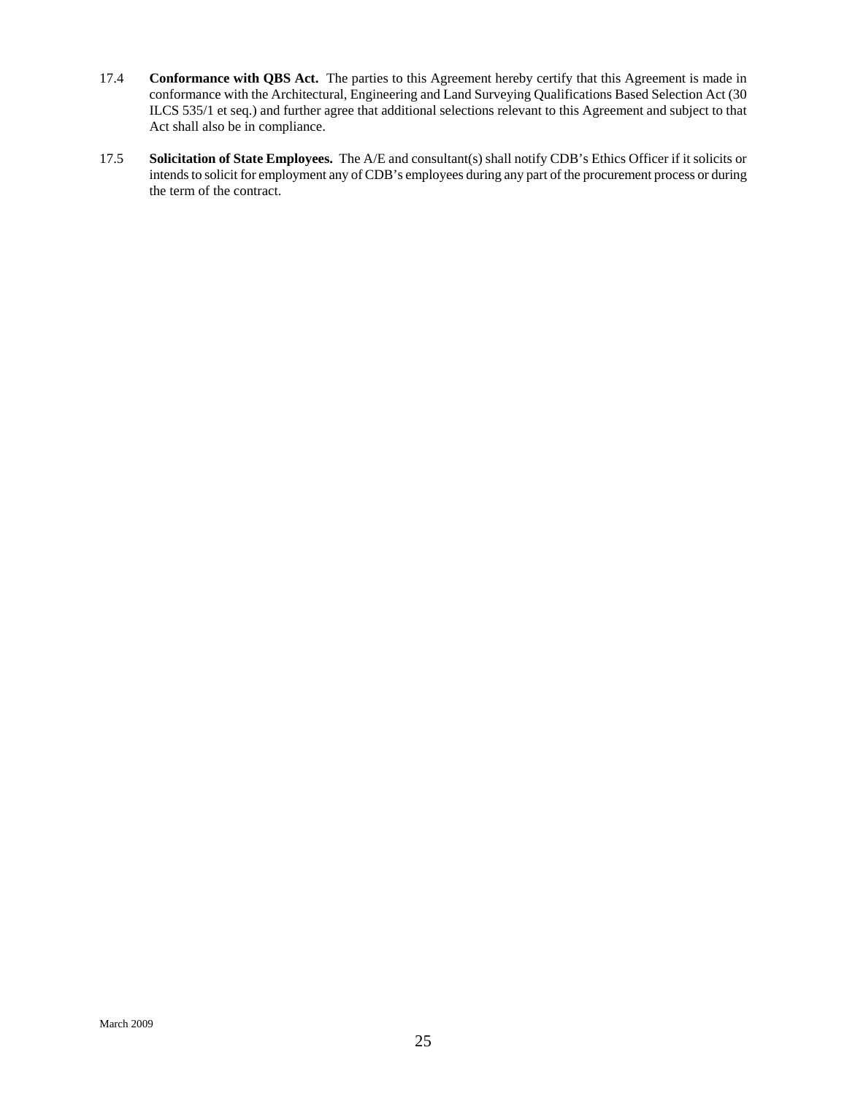- 17.4 **Conformance with QBS Act.** The parties to this Agreement hereby certify that this Agreement is made in conformance with the Architectural, Engineering and Land Surveying Qualifications Based Selection Act (30 ILCS 535/1 et seq.) and further agree that additional selections relevant to this Agreement and subject to that Act shall also be in compliance.
- 17.5 **Solicitation of State Employees.** The A/E and consultant(s) shall notify CDB's Ethics Officer if it solicits or intends to solicit for employment any of CDB's employees during any part of the procurement process or during the term of the contract.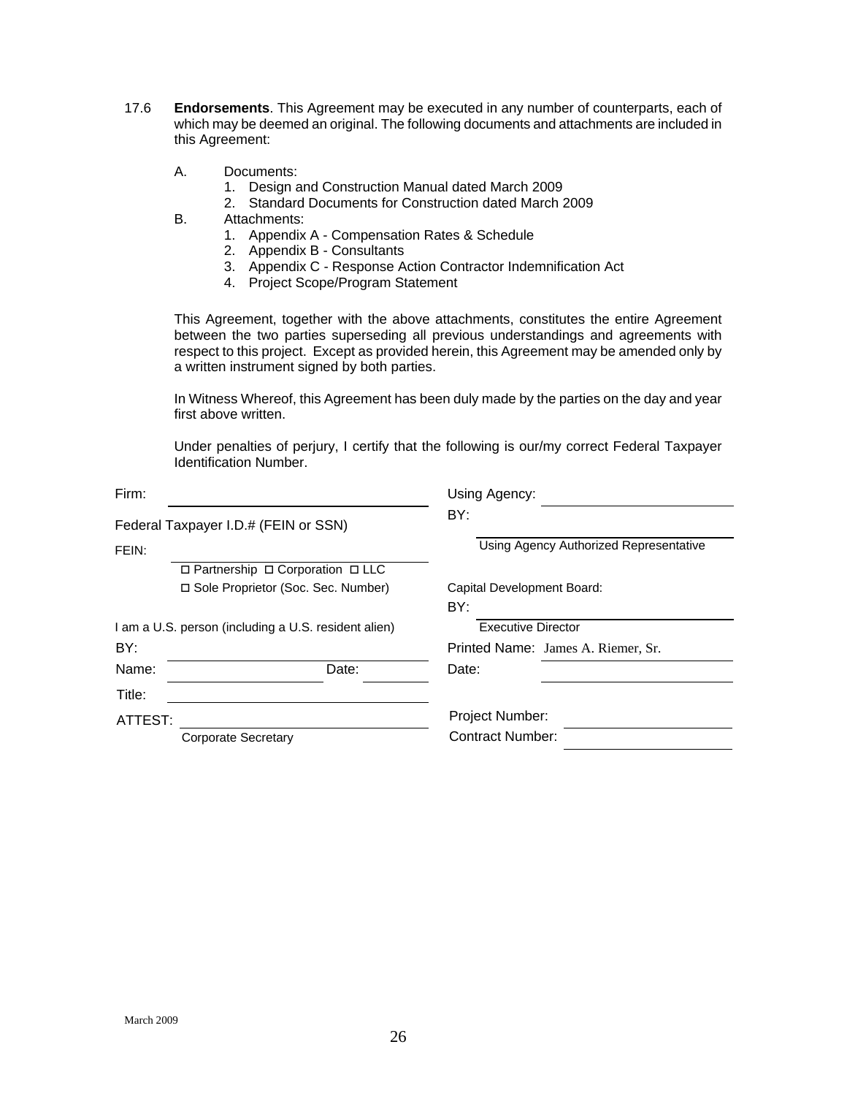- 17.6 **Endorsements**. This Agreement may be executed in any number of counterparts, each of which may be deemed an original. The following documents and attachments are included in this Agreement:
	- A. Documents:
		- 1. Design and Construction Manual dated March 2009
		- 2. Standard Documents for Construction dated March 2009
	- B. Attachments:
		- 1. Appendix A Compensation Rates & Schedule
		- 2. Appendix B Consultants
		- 3. Appendix C Response Action Contractor Indemnification Act
		- 4. Project Scope/Program Statement

This Agreement, together with the above attachments, constitutes the entire Agreement between the two parties superseding all previous understandings and agreements with respect to this project. Except as provided herein, this Agreement may be amended only by a written instrument signed by both parties.

In Witness Whereof, this Agreement has been duly made by the parties on the day and year first above written.

Under penalties of perjury, I certify that the following is our/my correct Federal Taxpayer Identification Number.

| Firm:                                                |                                      | Using Agency:                          |  |  |
|------------------------------------------------------|--------------------------------------|----------------------------------------|--|--|
|                                                      | Federal Taxpayer I.D.# (FEIN or SSN) | BY:                                    |  |  |
| FEIN:                                                |                                      | Using Agency Authorized Representative |  |  |
|                                                      | □ Partnership □ Corporation □ LLC    |                                        |  |  |
|                                                      | □ Sole Proprietor (Soc. Sec. Number) | Capital Development Board:<br>BY:      |  |  |
| I am a U.S. person (including a U.S. resident alien) |                                      | <b>Executive Director</b>              |  |  |
| BY:                                                  |                                      | Printed Name: James A. Riemer, Sr.     |  |  |
| Name:                                                | Date:                                | Date:                                  |  |  |
| Title:                                               |                                      |                                        |  |  |
| ATTEST:                                              |                                      | Project Number:                        |  |  |
|                                                      | <b>Corporate Secretary</b>           | Contract Number:                       |  |  |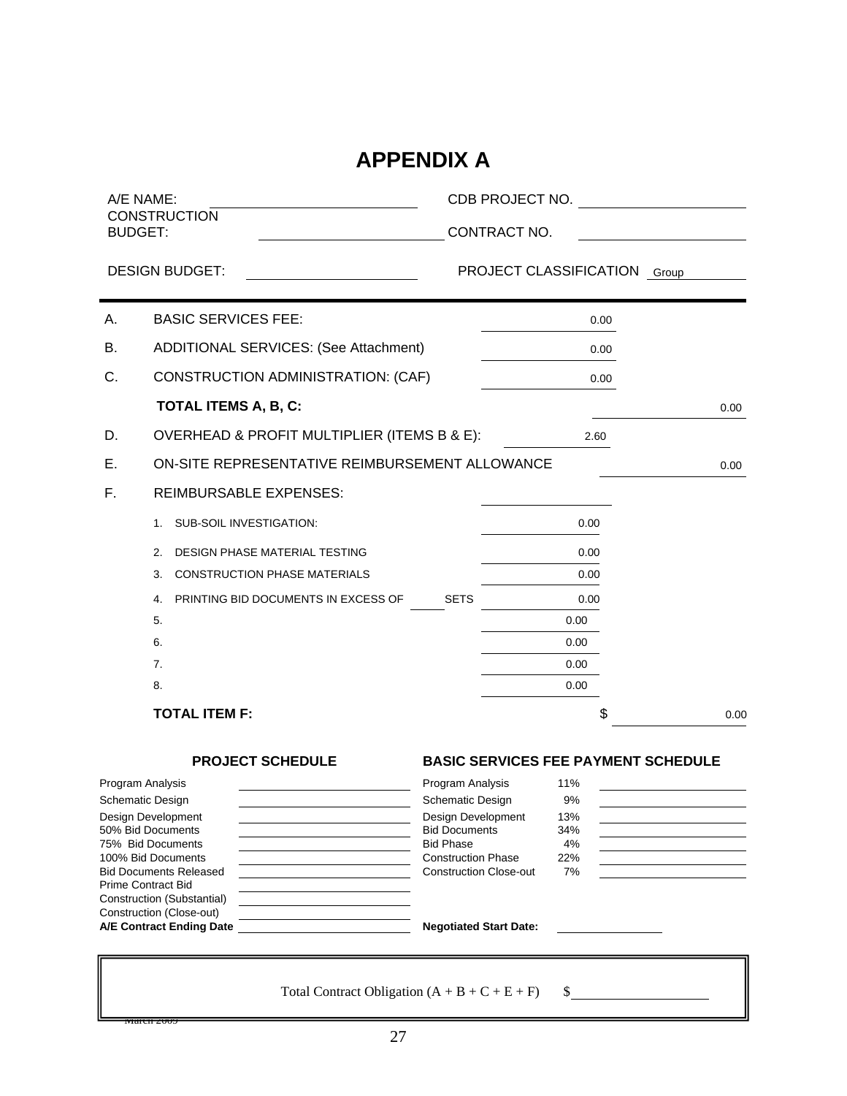# **APPENDIX A**

| A/E NAME:                               |                                                 |                                               | CDB PROJECT NO.        |           |                                            |
|-----------------------------------------|-------------------------------------------------|-----------------------------------------------|------------------------|-----------|--------------------------------------------|
| <b>BUDGET:</b>                          | <b>CONSTRUCTION</b>                             |                                               | CONTRACT NO.           |           |                                            |
|                                         | <b>DESIGN BUDGET:</b>                           |                                               | PROJECT CLASSIFICATION |           | Group                                      |
| А.                                      | <b>BASIC SERVICES FEE:</b>                      |                                               |                        | 0.00      |                                            |
| В.                                      | ADDITIONAL SERVICES: (See Attachment)           |                                               |                        | 0.00      |                                            |
| С.                                      | CONSTRUCTION ADMINISTRATION: (CAF)              |                                               |                        | 0.00      |                                            |
|                                         | TOTAL ITEMS A, B, C:                            |                                               |                        |           | 0.00                                       |
| D.                                      | OVERHEAD & PROFIT MULTIPLIER (ITEMS B & E):     |                                               |                        | 2.60      |                                            |
| Е.                                      | ON-SITE REPRESENTATIVE REIMBURSEMENT ALLOWANCE  |                                               |                        |           | 0.00                                       |
| F.                                      | <b>REIMBURSABLE EXPENSES:</b>                   |                                               |                        |           |                                            |
|                                         | SUB-SOIL INVESTIGATION:<br>1.                   |                                               |                        | 0.00      |                                            |
| 2.                                      | <b>DESIGN PHASE MATERIAL TESTING</b>            |                                               |                        | 0.00      |                                            |
| 3.                                      | <b>CONSTRUCTION PHASE MATERIALS</b>             |                                               |                        | 0.00      |                                            |
| 4.                                      | PRINTING BID DOCUMENTS IN EXCESS OF             | <b>SETS</b>                                   |                        | 0.00      |                                            |
| 5.                                      |                                                 |                                               |                        | 0.00      |                                            |
| 6.                                      |                                                 |                                               |                        | 0.00      |                                            |
| 7.                                      |                                                 |                                               |                        | 0.00      |                                            |
| 8.                                      |                                                 |                                               |                        | 0.00      |                                            |
|                                         | <b>TOTAL ITEM F:</b>                            |                                               |                        | \$        | 0.00                                       |
|                                         | <b>PROJECT SCHEDULE</b>                         |                                               |                        |           | <b>BASIC SERVICES FEE PAYMENT SCHEDULE</b> |
| Program Analysis                        |                                                 | Program Analysis                              |                        | 11%       |                                            |
| <b>Schematic Design</b>                 |                                                 | <b>Schematic Design</b>                       |                        | 9%        |                                            |
| Design Development<br>50% Bid Documents |                                                 | Design Development<br><b>Bid Documents</b>    | 34%                    | 13%       |                                            |
| 75% Bid Documents                       |                                                 | <b>Bid Phase</b><br><b>Construction Phase</b> |                        | 4%        |                                            |
| 100% Bid Documents                      | <b>Bid Documents Released</b>                   | <b>Construction Close-out</b>                 |                        | 22%<br>7% |                                            |
| <b>Prime Contract Bid</b>               | Construction (Substantial)                      |                                               |                        |           |                                            |
|                                         | Construction (Close-out)                        |                                               |                        |           |                                            |
|                                         | A/E Contract Ending Date                        | <b>Negotiated Start Date:</b>                 |                        |           |                                            |
| <del>maren 2005</del>                   | Total Contract Obligation $(A + B + C + E + F)$ |                                               | \$                     |           |                                            |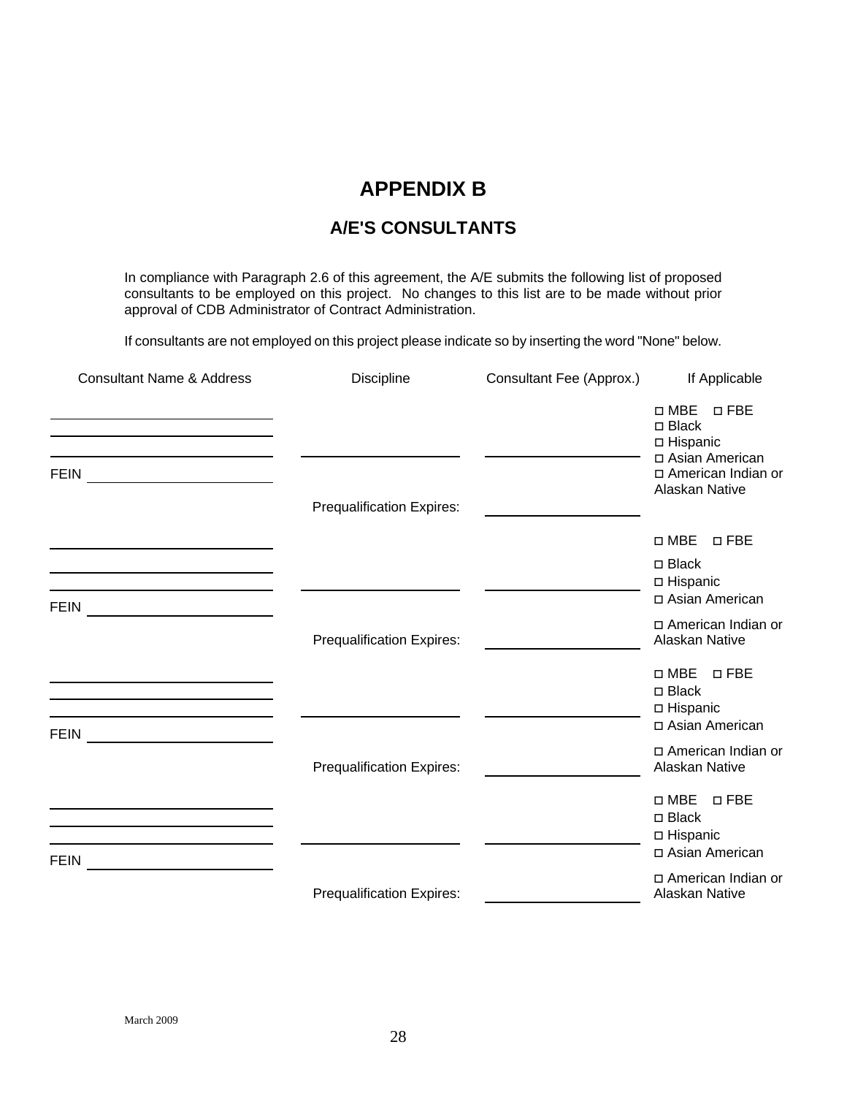# **APPENDIX B**

# **A/E'S CONSULTANTS**

In compliance with Paragraph 2.6 of this agreement, the A/E submits the following list of proposed consultants to be employed on this project. No changes to this list are to be made without prior approval of CDB Administrator of Contract Administration.

If consultants are not employed on this project please indicate so by inserting the word "None" below.

| <b>Consultant Name &amp; Address</b>                                                                                                                                                                                                           | <b>Discipline</b>                | Consultant Fee (Approx.) | If Applicable                                                                                                   |
|------------------------------------------------------------------------------------------------------------------------------------------------------------------------------------------------------------------------------------------------|----------------------------------|--------------------------|-----------------------------------------------------------------------------------------------------------------|
| <b>FEIN</b>                                                                                                                                                                                                                                    |                                  |                          | $\Box$ MBE<br>$\Box$ FBE<br>□ Black<br>□ Hispanic<br>□ Asian American<br>□ American Indian or<br>Alaskan Native |
|                                                                                                                                                                                                                                                | <b>Prequalification Expires:</b> |                          |                                                                                                                 |
|                                                                                                                                                                                                                                                |                                  |                          | $\square$ MBE<br>$\square$ FBE                                                                                  |
| <u> 1989 - Johann Barnett, fransk politiker (d. 1989)</u><br><b>FEIN</b><br><u> 1980 - Andrea Albert III, poet e pre</u>                                                                                                                       |                                  |                          | □ Black<br>□ Hispanic<br>□ Asian American                                                                       |
|                                                                                                                                                                                                                                                | <b>Prequalification Expires:</b> |                          | □ American Indian or<br>Alaskan Native                                                                          |
| <u> 1989 - Johann Stein, marwolaethau a bhann an t-Albann an t-Albann an t-Albann an t-Albann an t-Albann an t-Alb</u><br><u> 1989 - Johann Barbara, martin amerikan basar dan berasal dalam basa dalam basar dalam basar dalam basar dala</u> |                                  |                          | $\square$ MBE<br>$\square$ FBE<br>$\Box$ Black<br>□ Hispanic                                                    |
| FEIN _________________________                                                                                                                                                                                                                 |                                  |                          | □ Asian American                                                                                                |
|                                                                                                                                                                                                                                                | <b>Prequalification Expires:</b> |                          | □ American Indian or<br>Alaskan Native                                                                          |
| <u> 1989 - Johann Barbara, martin amerikan basar dan berasal dan berasal dalam basar dalam basar dalam basar dala</u><br><u> 1980 - Andrea Brand, amerikansk politik (d. 1980)</u><br><b>FEIN</b>                                              |                                  |                          | $\square$ MBE<br>$\square$ FBE<br>$\Box$ Black<br>□ Hispanic<br>□ Asian American                                |
| <u> 1980 - Andrea Station Books, amerikansk politik (</u>                                                                                                                                                                                      | <b>Prequalification Expires:</b> |                          | □ American Indian or<br>Alaskan Native                                                                          |